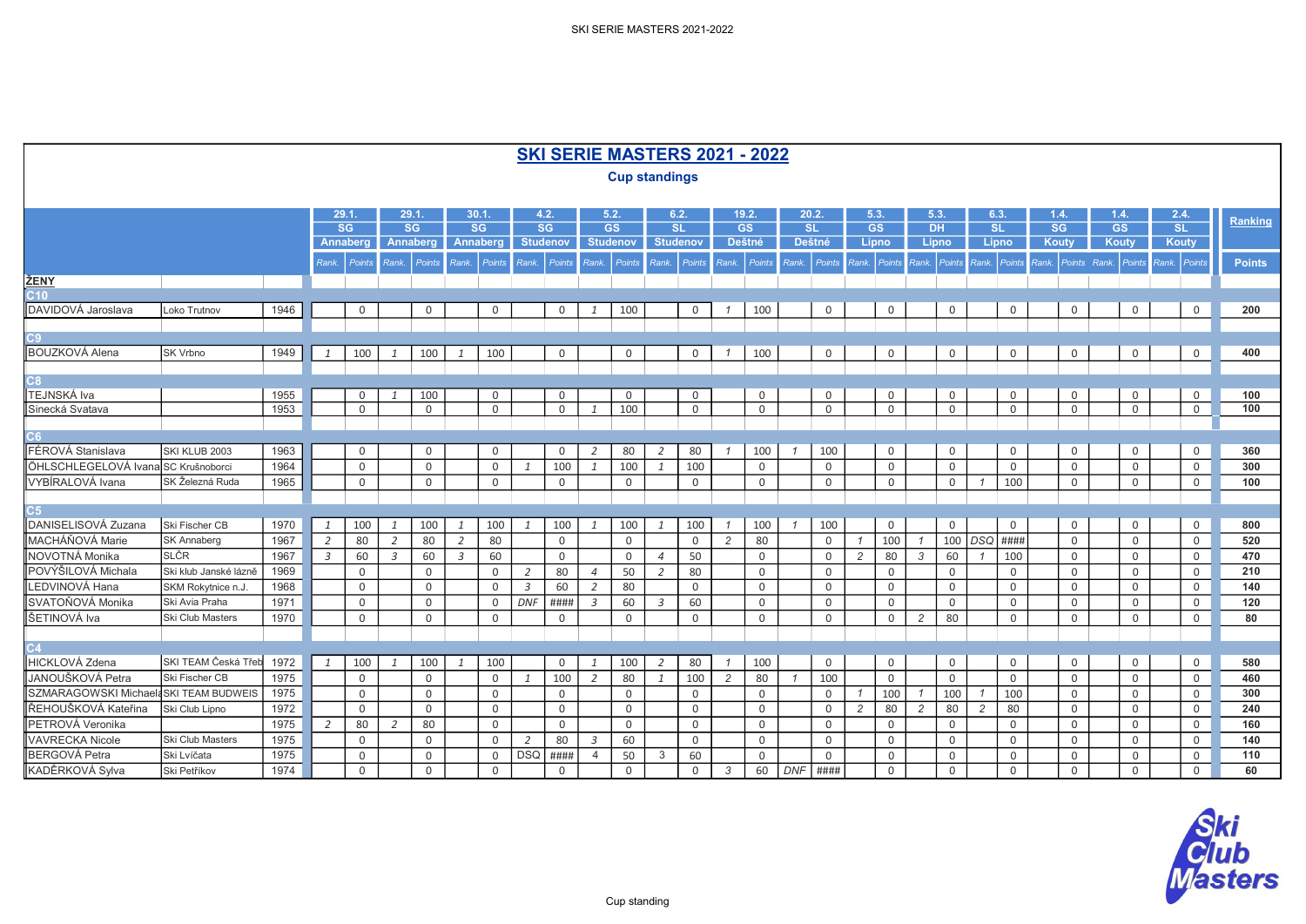|                                        |                         |      |                |                 |                |                           |                |              |              |                 |                |                      |                |                           |                | SKI SERIE MASTERS 2021 - 2022 |                |             |                        |                           |                  |             |                      |                |                                 |                        |                        |               |
|----------------------------------------|-------------------------|------|----------------|-----------------|----------------|---------------------------|----------------|--------------|--------------|-----------------|----------------|----------------------|----------------|---------------------------|----------------|-------------------------------|----------------|-------------|------------------------|---------------------------|------------------|-------------|----------------------|----------------|---------------------------------|------------------------|------------------------|---------------|
|                                        |                         |      |                |                 |                |                           |                |              |              |                 |                | <b>Cup standings</b> |                |                           |                |                               |                |             |                        |                           |                  |             |                      |                |                                 |                        |                        |               |
|                                        |                         |      |                |                 |                |                           |                |              |              |                 |                |                      |                |                           |                |                               |                |             |                        |                           |                  |             |                      |                |                                 |                        |                        |               |
|                                        |                         |      |                | 29.1            |                | 29.1.                     | 30.1           |              |              | 4.2.            |                | 5.2.                 |                | 6.2.                      |                | 19.2.                         |                | 20.2.       | 5.3.                   |                           | 5.3.             |             | 6.3.                 |                | 1.4.                            | 1.4.                   | 2.4.                   | Ranking       |
|                                        |                         |      |                | SG              |                | SG                        |                | SG           |              | SG              |                | GS                   |                | SL                        |                | GS                            |                | SL          | $\overline{\text{GS}}$ |                           | $\overline{D}$ H |             | <b>SL</b>            |                | $\overline{\text{SG}}$          | $\overline{\text{GS}}$ | $\overline{\text{SL}}$ |               |
|                                        |                         |      |                | <b>Annaberg</b> |                | Annaberg                  |                | Annaberg     |              | <b>Studenov</b> |                | <b>Studenov</b>      |                | <b>Studenov</b>           |                | <b>Deštné</b>                 | <b>Deštné</b>  |             | <b>Lipno</b>           |                           | Lipno            |             | Lipno                |                | Kouty                           | Kouty                  | Kouty                  |               |
|                                        |                         |      | Rank.          | Points          |                | Rank. Points Rank. Points |                |              |              | Rank. Points    |                |                      |                | Rank. Points Rank. Points |                | Rank. Points                  | Rank. Points   |             |                        | Rank. Points Rank. Points |                  |             |                      |                | Rank. Points Rank. Points Rank. | Points                 | Rank. Points           | <b>Points</b> |
| ŽENY                                   |                         |      |                |                 |                |                           |                |              |              |                 |                |                      |                |                           |                |                               |                |             |                        |                           |                  |             |                      |                |                                 |                        |                        |               |
| <b>C10</b>                             |                         |      |                |                 |                |                           |                |              |              |                 |                |                      |                |                           |                |                               |                |             |                        |                           |                  |             |                      |                |                                 |                        |                        |               |
| DAVIDOVÁ Jaroslava                     | Loko Trutnov            | 1946 |                | $\mathbf 0$     |                | $\mathbf 0$               |                | $\mathbf 0$  |              | $\mathbf 0$     | $\mathbf{1}$   | 100                  |                | $\mathbf 0$               | $\mathcal I$   | 100                           |                | $\mathbf 0$ |                        | 0                         |                  | $\mathsf 0$ | $\mathsf 0$          |                | $\mathsf 0$                     | 0                      | $\mathsf{O}$           | 200           |
|                                        |                         |      |                |                 |                |                           |                |              |              |                 |                |                      |                |                           |                |                               |                |             |                        |                           |                  |             |                      |                |                                 |                        |                        |               |
| C9<br><b>BOUZKOVÁ Alena</b>            | SK Vrbno                | 1949 | $\mathbf{1}$   | 100             |                | 100                       |                | 100          |              | $\mathsf 0$     |                | $\mathbf 0$          |                | $\mathbf 0$               | $\mathcal I$   | 100                           |                | $\mathbf 0$ |                        | $\mathsf{O}$              |                  | $\mathsf 0$ | $\mathsf 0$          |                | $\mathsf 0$                     | $\mathbf 0$            | $\mathsf{O}$           | 400           |
|                                        |                         |      |                |                 | $\mathbf{1}$   |                           | 1              |              |              |                 |                |                      |                |                           |                |                               |                |             |                        |                           |                  |             |                      |                |                                 |                        |                        |               |
| C8.                                    |                         |      |                |                 |                |                           |                |              |              |                 |                |                      |                |                           |                |                               |                |             |                        |                           |                  |             |                      |                |                                 |                        |                        |               |
| <b>TEJNSKÁ Iva</b>                     |                         | 1955 |                | $\mathbf{0}$    | $\mathbf{1}$   | 100                       |                | 0            |              | 0               |                | 0                    |                | $\mathbf 0$               |                | $\mathbf 0$                   |                | $\mathbf 0$ |                        | 0                         |                  | 0           |                      | $\overline{0}$ | $\mathsf 0$                     | 0                      | $\mathbf 0$            | 100           |
| Sinecká Svatava                        |                         | 1953 |                | $\mathsf{O}$    |                | $\mathbf 0$               |                | 0            |              | 0               | $\mathbf{1}$   | 100                  |                | $\mathbf 0$               |                | 0                             |                | $\mathbf 0$ |                        | 0                         |                  | $\mathbf 0$ |                      | 0              | $\mathsf 0$                     | $\mathbf 0$            | $\overline{0}$         | 100           |
|                                        |                         |      |                |                 |                |                           |                |              |              |                 |                |                      |                |                           |                |                               |                |             |                        |                           |                  |             |                      |                |                                 |                        |                        |               |
| C6.                                    |                         |      |                |                 |                |                           |                |              |              |                 |                |                      |                |                           |                |                               |                |             |                        |                           |                  |             |                      |                |                                 |                        |                        |               |
| FÉROVÁ Stanislava                      | SKI KLUB 2003           | 1963 |                | $\mathbf 0$     |                | $\mathbf 0$               |                | $\mathbf 0$  |              | $\mathbf 0$     | $\overline{2}$ | 80                   | $\overline{2}$ | 80                        |                | 100                           |                | 100         |                        | 0                         |                  | 0           |                      | $\mathsf{O}$   | $\mathbf 0$                     | 0                      | $\mathbf 0$            | 360           |
| ÖHLSCHLEGELOVÁ Ivana SC Krušnoborci    |                         | 1964 |                | $\mathbf 0$     |                | $\mathbf 0$               |                | $\mathsf{O}$ | $\mathbf{1}$ | 100             | $\mathbf{1}$   | 100                  | $\overline{1}$ | 100                       |                | $\mathbf 0$                   |                | $\mathbf 0$ |                        | 0                         |                  | $\mathbf 0$ | $\overline{0}$       |                | $\mathsf 0$                     | $\mathbf 0$            | $\mathsf{O}$           | 300           |
| VYBÍRALOVÁ Ivana                       | SK Železná Ruda         | 1965 |                | $\overline{0}$  |                | $\mathbf 0$               |                | $\mathbf 0$  |              | $\mathsf{O}$    |                | $\mathbf 0$          |                | $\mathbf 0$               |                | $\mathsf{O}$                  |                | 0           |                        | 0                         |                  | $\mathbf 0$ | 100                  |                | $\mathsf{O}$                    | $\mathbf 0$            | $\overline{0}$         | 100           |
| C5                                     |                         |      |                |                 |                |                           |                |              |              |                 |                |                      |                |                           |                |                               |                |             |                        |                           |                  |             |                      |                |                                 |                        |                        |               |
| DANISELISOVÁ Zuzana                    | Ski Fischer CB          | 1970 | 1              | 100             | 1              | 100                       | -1             | 100          | -1           | 100             | $\overline{1}$ | 100                  | 1              | 100                       | $\overline{1}$ | 100                           | $\overline{1}$ | 100         |                        | $\mathbf 0$               |                  | $\mathbf 0$ | $\Omega$             |                | $\mathbf 0$                     | $\mathbf 0$            | $\overline{0}$         | 800           |
| MACHÁŇOVÁ Marie                        | <b>SK Annaberg</b>      | 1967 | $\overline{2}$ | 80              | $\overline{2}$ | 80                        | $\overline{2}$ | 80           |              | $\mathbf 0$     |                | $\mathbf 0$          |                | $\mathbf 0$               | $\overline{c}$ | 80                            |                | $\Omega$    |                        | 100                       |                  | 100         | DSQ ####             |                | $\mathbf 0$                     | $\mathbf 0$            | $\mathsf{O}$           | 520           |
| NOVOTNÁ Monika                         | <b>SLČR</b>             | 1967 | $\overline{3}$ | 60              | $\overline{3}$ | 60                        | $\overline{3}$ | 60           |              | $\mathbf 0$     |                | $\Omega$             | $\overline{4}$ | 50                        |                | $\overline{0}$                |                | $\Omega$    | $\overline{2}$         | 80                        | $\mathbf{3}$     | 60          | 100                  |                | $\mathbf 0$                     | $\mathbf 0$            | $\mathbf 0$            | 470           |
| POVÝŠILOVÁ Michala                     | Ski klub Janské lázně   | 1969 |                | $\mathbf 0$     |                | $\mathbf 0$               |                | $\mathbf 0$  | 2            | 80              | $\overline{4}$ | 50                   | 2              | 80                        |                | $\mathsf 0$                   |                | $\mathbf 0$ |                        | 0                         |                  | $\mathbf 0$ | $\overline{0}$       |                | $\mathsf{O}$                    | $\mathbf 0$            | $\mathbf 0$            | 210           |
| LEDVINOVÁ Hana                         | SKM Rokytnice n.J       | 1968 |                | $\mathbf 0$     |                | $\Omega$                  |                | $\Omega$     | 3            | 60              | $\overline{2}$ | 80                   |                | $\mathbf 0$               |                | $\mathbf 0$                   |                | $\Omega$    |                        | 0                         |                  | $\mathbf 0$ |                      | $\mathbf 0$    | $\mathbf 0$                     | 0                      | $\mathbf 0$            | 140           |
| SVATOŇOVÁ Monika                       | Ski Avia Praha          | 1971 |                | $\mathsf{O}$    |                | $\mathbf 0$               |                | $\mathbf 0$  | <b>DNF</b>   | ####            | $\overline{3}$ | 60                   | 3              | 60                        |                | $\mathbf 0$                   |                | $\mathbf 0$ |                        | $\Omega$                  |                  | $\mathbf 0$ |                      | $\mathbf 0$    | $\mathsf 0$                     | $\mathbf 0$            | $\mathbf 0$            | 120           |
| ŠETINOVÁ Iva                           | <b>Ski Club Masters</b> | 1970 |                | $\mathbf 0$     |                | $\mathbf 0$               |                | $\mathsf{O}$ |              | $\mathsf{O}$    |                | $\mathbf 0$          |                | $\mathbf 0$               |                | $\mathsf{O}$                  |                | $\mathbf 0$ |                        | 0                         | $\overline{2}$   | 80          |                      | $\mathsf{O}$   | $\mathsf{O}$                    | $\mathbf 0$            | $\mathbf 0$            | 80            |
|                                        |                         |      |                |                 |                |                           |                |              |              |                 |                |                      |                |                           |                |                               |                |             |                        |                           |                  |             |                      |                |                                 |                        |                        |               |
| CA                                     |                         |      |                |                 |                |                           |                |              |              |                 |                |                      |                |                           |                |                               |                |             |                        |                           |                  |             |                      |                |                                 |                        |                        |               |
| <b>HICKLOVÁ</b> Zdena                  | SKI TEAM Česká Třeb     | 1972 | 1              | 100             | 1              | 100                       | 1              | 100          |              | $\mathbf 0$     | $\mathbf{1}$   | 100                  | 2              | 80                        | $\mathcal I$   | 100                           |                | $\mathbf 0$ |                        | 0                         |                  | $\mathbf 0$ | $\mathbf 0$          |                | $\mathsf 0$                     | $\mathbf 0$            | $\mathsf{O}$           | 580           |
| JANOUŠKOVÁ Petra                       | Ski Fischer CB          | 1975 |                | $\mathbf 0$     |                | $\mathbf 0$               |                | $\mathbf{0}$ | $\mathbf{1}$ | 100             | 2              | 80                   | $\mathbf{1}$   | 100                       | $\overline{c}$ | 80                            | $\overline{1}$ | 100         |                        | $\mathbf 0$               |                  | $\mathbf 0$ | $\overline{0}$       |                | $\mathbf 0$                     | $\mathbf 0$            | $\overline{0}$         | 460           |
| SZMARAGOWSKI Michaela SKI TEAM BUDWEIS |                         | 1975 |                | $\mathsf{O}$    |                | $\mathbf 0$               |                | $\mathsf 0$  |              | $\mathsf 0$     |                | $\mathbf 0$          |                | $\mathbf 0$               |                | $\mathsf 0$                   |                | $\mathbf 0$ |                        | 100                       |                  | 100         | 100                  |                | $\mathbf 0$                     | 0                      | $\mathsf{O}$           | 300           |
| ŘEHOUŠKOVÁ Kateřina                    | Ski Club Lipno          | 1972 |                | $\mathbf 0$     |                | $\Omega$                  |                | $\Omega$     |              | $\mathbf 0$     |                | $\Omega$             |                | $\Omega$                  |                | $\mathbf 0$                   |                | $\Omega$    | $\overline{2}$         | 80                        | $\overline{c}$   | 80          | $\overline{2}$<br>80 |                | $\mathbf 0$                     | $\mathbf 0$            | $\mathbf 0$            | 240           |
| PETROVÁ Veronika                       |                         | 1975 | 2              | 80              | 2              | 80                        |                | $\mathbf 0$  |              | $\mathbf 0$     |                | $\mathbf 0$          |                | $\mathbf 0$               |                | $\mathbf 0$                   |                | $\mathbf 0$ |                        | 0                         |                  | 0           |                      | $\mathbf 0$    | $\mathbf 0$                     | $\mathbf 0$            | $\overline{0}$         | 160           |
| <b>VAVRECKA Nicole</b>                 | <b>Ski Club Masters</b> | 1975 |                | $\mathbf 0$     |                | $\mathbf 0$               |                | $\Omega$     | 2            | 80              | $\overline{3}$ | 60                   |                | $\mathbf 0$               |                | $\mathbf 0$                   |                | $\Omega$    |                        | 0                         |                  | $\mathbf 0$ |                      | $\mathbf{0}$   | $\mathbf 0$                     | 0                      | 0                      | 140           |
| <b>BERGOVÁ Petra</b>                   | Ski Lvíčata             | 1975 |                | $\mathbf 0$     |                | $\Omega$                  |                | $\Omega$     | <b>DSQ</b>   | ####            | 4              | 50                   | 3              | 60                        |                | $\Omega$                      |                | $\Omega$    |                        | $\Omega$                  |                  | $\Omega$    |                      | $\Omega$       | $\mathbf 0$                     | $\mathbf 0$            | $\overline{0}$         | 110           |
| KADĚRKOVÁ Sylva                        | Ski Petříkov            | 1974 |                | $\overline{0}$  |                | $\overline{0}$            |                | $\mathbf 0$  |              | $\mathbf 0$     |                | $\mathbf 0$          |                | $\mathbf 0$               | $\mathcal{S}$  | 60                            | $DNF$ ####     |             |                        | $\mathbf 0$               |                  | $\mathbf 0$ | $\overline{0}$       |                | $\overline{0}$                  | $\Omega$               | $\mathbf{0}$           | 60            |

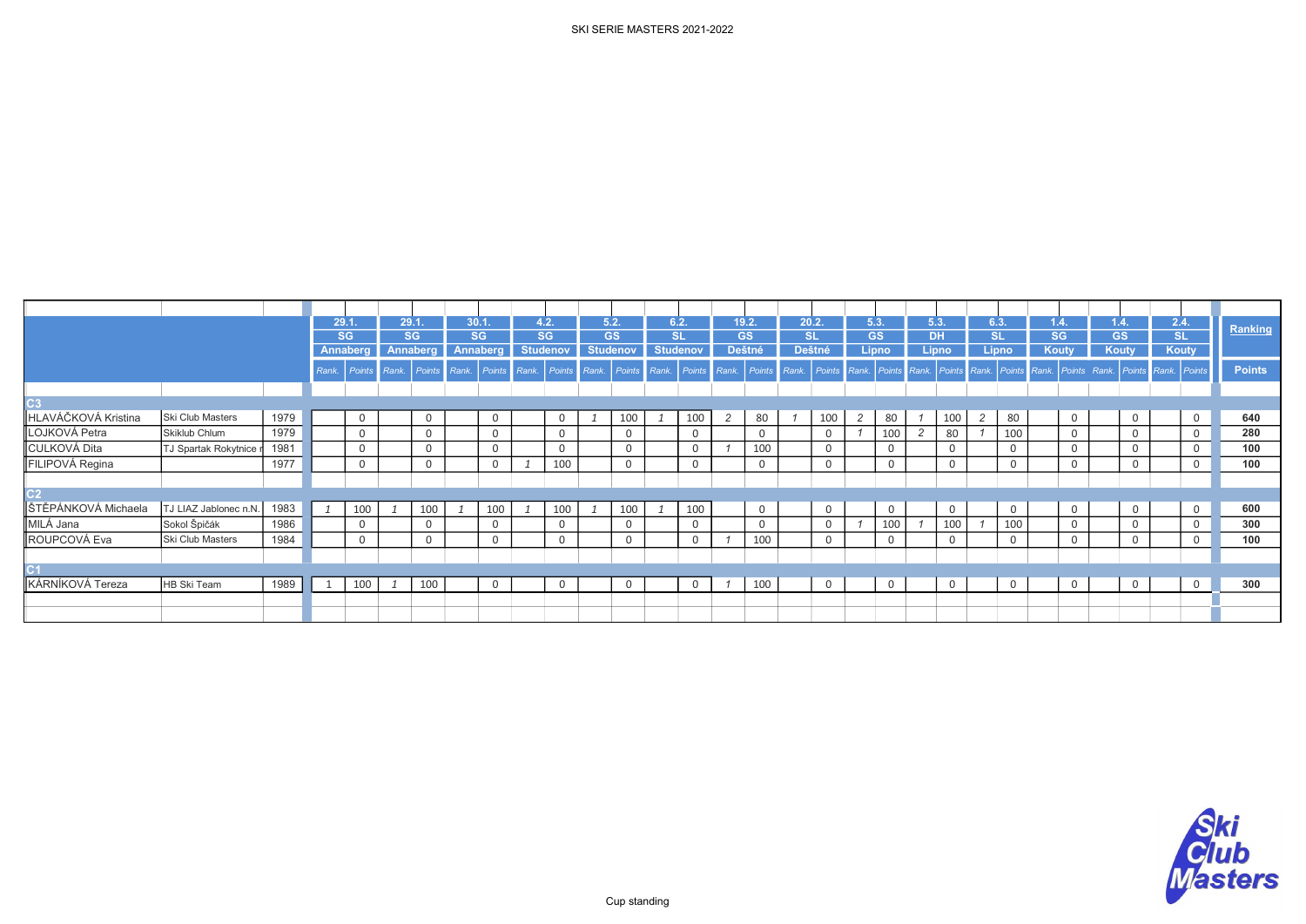|                     |                       |      |       | 29.1            |      | 29.1.        |      | 30.1.     |       | 4.2.            |       | 5.2.            |       | 6.2.            |                | 19.2.     | 20.2  |               |                | 5.3.           | 5.3.      |          |                    | 6.3.      | $\sqrt{1.4}$ . | 1.4.      |                | 2.4. |                | Ranking       |
|---------------------|-----------------------|------|-------|-----------------|------|--------------|------|-----------|-------|-----------------|-------|-----------------|-------|-----------------|----------------|-----------|-------|---------------|----------------|----------------|-----------|----------|--------------------|-----------|----------------|-----------|----------------|------|----------------|---------------|
|                     |                       |      |       | <b>SG</b>       |      | SG           |      | <b>SG</b> |       | <b>SG</b>       |       | <b>GS</b>       |       | <b>SL</b>       |                | <b>GS</b> |       | <b>SL</b>     |                | <b>GS</b>      | <b>DH</b> |          |                    | <b>SL</b> | <b>SG</b>      | <b>GS</b> |                |      | SL             |               |
|                     |                       |      |       | <b>Annaberg</b> |      | Annaberg     |      | Annaberg  |       | <b>Studenov</b> |       | <b>Studenov</b> |       | <b>Studenov</b> |                | Deštné    |       | <b>Deštné</b> |                | <b>Lipno</b>   |           | Lipno    |                    | Lipno     | <b>Kouty</b>   |           | Kouty          |      | <b>Kouty</b>   |               |
|                     |                       |      | Rank. | <b>Points</b>   | Rank | Points       | Rank | Points    | Rank. | Points          | Rank. | Points          | Rank. | Points          | Rank.          | Points    | Rank. | Points        | Rank.          | Points Rank    |           | Points   | Rank. Points Rank. |           | Points Rank.   |           | Points         |      | Rank. Points   | <b>Points</b> |
|                     |                       |      |       |                 |      |              |      |           |       |                 |       |                 |       |                 |                |           |       |               |                |                |           |          |                    |           |                |           |                |      |                |               |
| C3                  |                       |      |       |                 |      |              |      |           |       |                 |       |                 |       |                 |                |           |       |               |                |                |           |          |                    |           |                |           |                |      |                |               |
| HLAVÁČKOVÁ Kristina | Ski Club Masters      | 1979 |       | $\overline{0}$  |      | $\mathbf{0}$ |      | 0         |       | $\mathbf{0}$    |       | 100             |       | 100             | $\overline{2}$ | 80        |       | 100           | $\overline{2}$ | 80             |           | 100      | $\overline{2}$     | 80        | $\overline{0}$ |           | $\mathbf 0$    |      | $\mathbf 0$    | 640           |
| LOJKOVÁ Petra       | Skiklub Chlum         | 1979 |       | $\mathbf{0}$    |      | $\mathbf{0}$ |      | 0         |       | $\mathbf{0}$    |       | 0               |       |                 |                |           |       |               |                | 100            |           | 80       |                    | 100       | $\Omega$       |           | $\mathbf 0$    |      | $\overline{0}$ | 280           |
| <b>CULKOVÁ Dita</b> | TJ Spartak Rokytnice  | 1981 |       | $\mathbf{0}$    |      | $\mathbf{0}$ |      | 0         |       | 0               |       | 0               |       |                 |                | 100       |       | $\mathbf 0$   |                | $\mathbf 0$    |           | $\Omega$ |                    |           | $\Omega$       |           | $\mathbf 0$    |      | $\mathbf 0$    | 100           |
| FILIPOVÁ Regina     |                       | 1977 |       | $\Omega$        |      | $\mathbf{0}$ |      | 0         |       | 100             |       | 0               |       |                 |                |           |       |               |                | $\mathbf 0$    |           | $\Omega$ |                    | 0         | $\Omega$       |           | $\mathbf 0$    |      | $\mathbf 0$    | 100           |
|                     |                       |      |       |                 |      |              |      |           |       |                 |       |                 |       |                 |                |           |       |               |                |                |           |          |                    |           |                |           |                |      |                |               |
| C <sub>2</sub>      |                       |      |       |                 |      |              |      |           |       |                 |       |                 |       |                 |                |           |       |               |                |                |           |          |                    |           |                |           |                |      |                |               |
| ŠTĚPÁNKOVÁ Michaela | TJ LIAZ Jablonec n.N. | 1983 |       | 100             |      | 100          |      | 100       |       | 100             |       | 100             |       | 100             |                | 0         |       | 0             |                | $\mathbf 0$    |           | $\Omega$ |                    | 0         | $\mathbf{0}$   |           | $\mathbf 0$    |      | $\overline{0}$ | 600           |
| MILÁ Jana           | Sokol Špičák          | 1986 |       | $\mathbf{0}$    |      | $\mathbf 0$  |      | 0         |       | 0               |       | 0               |       | 0               |                |           |       |               |                | 100            |           | 100      |                    | 100       | $\mathbf 0$    |           | $\mathbf 0$    |      | $\overline{0}$ | 300           |
| ROUPCOVÁ Eva        | Ski Club Masters      | 1984 |       | $\Omega$        |      | 0            |      | $\Omega$  |       | 0               |       | 0               |       |                 |                | 100       |       | 0             |                | $\mathbf 0$    |           | $\Omega$ |                    |           | $\Omega$       |           | $\mathbf 0$    |      | $\mathbf 0$    | 100           |
|                     |                       |      |       |                 |      |              |      |           |       |                 |       |                 |       |                 |                |           |       |               |                |                |           |          |                    |           |                |           |                |      |                |               |
|                     |                       |      |       |                 |      |              |      |           |       |                 |       |                 |       |                 |                |           |       |               |                |                |           |          |                    |           |                |           |                |      |                |               |
| KÁRNÍKOVÁ Tereza    | HB Ski Team           | 1989 |       | 100             |      | 100          |      | 0         |       | 0               |       | 0               |       | 0               |                | 100       |       | $\mathsf{O}$  |                | $\overline{0}$ |           | $\Omega$ |                    |           | $\overline{0}$ |           | $\overline{0}$ |      | $\overline{0}$ | 300           |
|                     |                       |      |       |                 |      |              |      |           |       |                 |       |                 |       |                 |                |           |       |               |                |                |           |          |                    |           |                |           |                |      |                |               |
|                     |                       |      |       |                 |      |              |      |           |       |                 |       |                 |       |                 |                |           |       |               |                |                |           |          |                    |           |                |           |                |      |                |               |

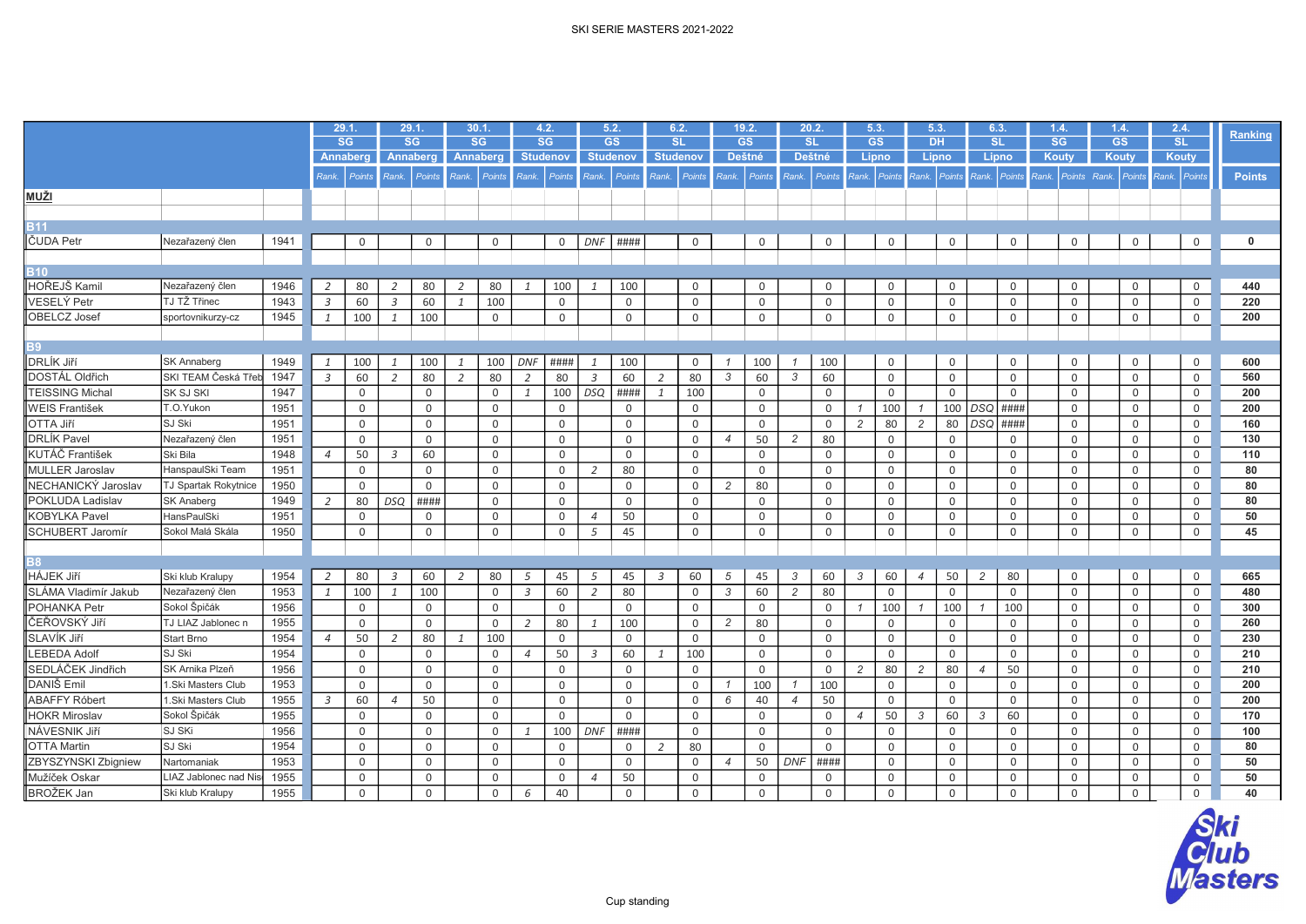|                         |                             |      |                | 29.1.       |                | 29.1            |                | 30.1.           |                | 4.2.            | 5.2.           |                 |                | 6.2.            |                | 19.2.        | 20.2.          |               |                | 5.3.         | 5.3.           |                | 6.3.           |             | 1.4 |              | 1.4.                      | 2.4.           |               |
|-------------------------|-----------------------------|------|----------------|-------------|----------------|-----------------|----------------|-----------------|----------------|-----------------|----------------|-----------------|----------------|-----------------|----------------|--------------|----------------|---------------|----------------|--------------|----------------|----------------|----------------|-------------|-----|--------------|---------------------------|----------------|---------------|
|                         |                             |      |                | <b>SG</b>   |                | <b>SG</b>       |                | SG              |                | <b>SG</b>       |                | <b>GS</b>       |                | <b>SL</b>       |                | <b>GS</b>    | <b>SL</b>      |               |                | <b>GS</b>    | <b>DH</b>      |                | <b>SL</b>      |             |     | SG           | <b>GS</b>                 | SL             | Ranking       |
|                         |                             |      |                | Annaberg    |                | <b>Annaberg</b> |                | <b>Annaberg</b> |                | <b>Studenov</b> |                | <b>Studenov</b> |                | <b>Studenov</b> |                | Deštné       |                | <b>Deštné</b> |                | Lipno        | Lipno          |                | Lipno          |             |     | Kouty        | <b>Koutv</b>              | Kouty          |               |
|                         |                             |      | Rank.          | Points      | Rank.          | Points          | Rank.          | Points          | Rank.          | Points          | Rank.          | Points          |                | Rank. Points    |                | Rank. Points |                | Rank. Points  |                | Rank. Points | Rank. Points   |                | Rank. Points   |             |     |              | Rank. Points Rank. Points | Rank. Points   | <b>Points</b> |
| MUŽI                    |                             |      |                |             |                |                 |                |                 |                |                 |                |                 |                |                 |                |              |                |               |                |              |                |                |                |             |     |              |                           |                |               |
|                         |                             |      |                |             |                |                 |                |                 |                |                 |                |                 |                |                 |                |              |                |               |                |              |                |                |                |             |     |              |                           |                |               |
| <b>B11</b>              |                             |      |                |             |                |                 |                |                 |                |                 |                |                 |                |                 |                |              |                |               |                |              |                |                |                |             |     |              |                           |                |               |
| ČUDA Petr               | Nezařazený člen             | 1941 |                | $\mathbf 0$ |                | $\mathbf 0$     |                | $\mathbf 0$     |                | $\mathsf{O}$    | DNF            | ####            |                | $\mathbf 0$     |                | $\mathbf 0$  |                | $\mathbf 0$   |                | $\mathbf 0$  |                | $\mathsf{O}$   |                | $\mathbf 0$ |     | 0            | $\mathbf 0$               | 0              | 0             |
|                         |                             |      |                |             |                |                 |                |                 |                |                 |                |                 |                |                 |                |              |                |               |                |              |                |                |                |             |     |              |                           |                |               |
| <b>B10</b>              |                             |      |                |             |                |                 |                |                 |                |                 |                |                 |                |                 |                |              |                |               |                |              |                |                |                |             |     |              |                           |                |               |
| HOŘEJŠ Kamil            | Nezařazený člen             | 1946 | 2              | 80          |                | 80              | 2              | 80              | -1             | 100             |                | 100             |                | 0               |                | 0            |                | 0             |                | 0            |                | 0              |                | 0           |     | 0            | 0                         | 0              | 440           |
| <b>VESELÝ Petr</b>      | TJ TŽ Třinec                | 1943 | $\overline{3}$ | 60          | $\overline{3}$ | 60              | $\mathcal{I}$  | 100             |                | $\mathbf 0$     |                | $\mathbf 0$     |                | $\mathbf 0$     |                | $\mathsf 0$  |                | $\mathbf 0$   |                | $\mathbf 0$  |                | $\Omega$       |                | $\mathbf 0$ |     | 0            | $\mathbf 0$               | $\mathbf 0$    | 220           |
| <b>OBELCZ</b> Josef     | sportovnikurzy-cz           | 1945 | $\mathbf{1}$   | 100         | 1              | 100             |                | $\mathbf 0$     |                | 0               |                | 0               |                | $\mathsf{O}$    |                | $\mathbf 0$  |                | $\mathbf 0$   |                | $\mathbf 0$  |                | $\mathbf 0$    |                | $\mathbf 0$ |     | 0            | $\mathbf 0$               | $\mathbf 0$    | 200           |
|                         |                             |      |                |             |                |                 |                |                 |                |                 |                |                 |                |                 |                |              |                |               |                |              |                |                |                |             |     |              |                           |                |               |
| <b>B9</b>               |                             |      |                |             |                |                 |                |                 |                |                 |                |                 |                |                 |                |              |                |               |                |              |                |                |                |             |     |              |                           |                |               |
| DRLÍK Jiří              | <b>SK Annaberg</b>          | 1949 | 1              | 100         | $\mathbf{1}$   | 100             | $\mathbf{1}$   | 100             | <b>DNF</b>     | ####            | -1             | 100             |                | $\mathbf 0$     |                | 100          |                | 100           |                | $\mathbf 0$  |                | 0              |                | $\mathsf 0$ |     | 0            | $\mathsf 0$               | 0              | 600           |
| DOSTÁL Oldřich          | SKI TEAM Česká Třet         | 1947 | $\overline{3}$ | 60          | $\overline{2}$ | 80              | $\overline{2}$ | 80              | 2              | 80              | $\overline{3}$ | 60              | 2              | 80              | 3              | 60           | 3              | 60            |                | $\mathsf 0$  |                | $\mathbf 0$    |                | $\mathbf 0$ |     | $\mathbf 0$  | $\mathbf 0$               | $\mathbf 0$    | 560           |
| <b>FEISSING Michal</b>  | SK SJ SKI                   | 1947 |                | $\mathbf 0$ |                | $\mathbf 0$     |                | $\mathbf 0$     | 1              | 100             | DSQ            | ####            | $\mathbf{1}$   | 100             |                | $\mathbf 0$  |                | $\mathbf 0$   |                | $\mathbf 0$  |                | $\mathbf 0$    |                | $\mathbf 0$ |     | 0            | $\mathbf 0$               | $\overline{0}$ | 200           |
| <b>WEIS František</b>   | T.O.Yukon                   | 1951 |                | $\mathbf 0$ |                | $\mathbf 0$     |                | $\mathbf 0$     |                | $\mathbf{0}$    |                | 0               |                | $\overline{0}$  |                | $\mathbf 0$  |                | $\Omega$      | $\mathcal I$   | 100          | $\mathcal{I}$  | 100            | DSQ            | ####        |     | $\mathbf 0$  | $\mathbf 0$               | 0              | 200           |
| OTTA Jiří               | SJ Ski                      | 1951 |                | $\mathbf 0$ |                | $\mathbf 0$     |                | $\mathbf 0$     |                | 0               |                | 0               |                | $\mathsf{O}$    |                | $\mathbf 0$  |                | $\Omega$      | $\overline{2}$ | 80           | $\overline{c}$ | 80             | DSQ            | ####        |     | 0            | $\mathbf 0$               | 0              | 160           |
| <b>DRLÍK Pavel</b>      | Nezařazený člen             | 1951 |                | $\Omega$    |                | $\Omega$        |                | $\Omega$        |                | $\mathbf 0$     |                | $\Omega$        |                | $\mathbf 0$     | $\overline{4}$ | 50           | 2              | 80            |                | $\Omega$     |                | $\Omega$       |                | $\mathbf 0$ |     | $\Omega$     | $\Omega$                  | $\overline{0}$ | 130           |
| KUTÁČ František         | Ski Bila                    | 1948 | $\overline{4}$ | 50          | 3              | 60              |                | $\mathbf 0$     |                | $\mathbf 0$     |                | $\mathbf 0$     |                | $\mathbf 0$     |                | $\mathbf 0$  |                | $\Omega$      |                | $\mathbf 0$  |                | $\overline{0}$ |                | $\mathbf 0$ |     | $\mathbf 0$  | $\mathbf 0$               | 0              | 110           |
| <b>MULLER Jaroslav</b>  | HanspaulSki Team            | 1951 |                | $\mathbf 0$ |                | 0               |                | 0               |                | 0               | 2              | 80              |                | $\mathbf 0$     |                | $\mathsf 0$  |                | $\mathbf 0$   |                | $\mathsf 0$  |                | $\mathbf 0$    |                | 0           |     | $\mathbf 0$  | $\mathsf 0$               | 0              | 80            |
| NECHANICKÝ Jaroslav     | <b>TJ Spartak Rokytnice</b> | 1950 |                | $\Omega$    |                | $\mathbf 0$     |                | $\mathbf 0$     |                | 0               |                | 0               |                | $\mathbf 0$     | $\overline{2}$ | 80           |                | $\mathbf 0$   |                | $\mathbf 0$  |                | $\overline{0}$ |                | $\mathbf 0$ |     | $\mathbf 0$  | $\mathbf 0$               | $\mathbf 0$    | 80            |
| POKLUDA Ladislav        | <b>SK Anaberg</b>           | 1949 | 2              | 80          | <b>DSQ</b>     | ####            |                | $\mathbf 0$     |                | $\mathbf 0$     |                | 0               |                | $\mathbf 0$     |                | $\mathbf 0$  |                | $\mathbf 0$   |                | $\mathbf 0$  |                | $\mathbf 0$    |                | $\mathbf 0$ |     | 0            | $\mathbf 0$               | $\mathbf 0$    | 80            |
| <b>KOBYLKA Pavel</b>    | <b>HansPaulSki</b>          | 1951 |                | $\Omega$    |                | 0               |                | $\mathbf 0$     |                | $\mathbf 0$     | $\overline{4}$ | 50              |                | $\mathbf 0$     |                | $\mathbf 0$  |                | $\Omega$      |                | $\mathbf 0$  |                | $\mathbf 0$    |                | $\mathbf 0$ |     | 0            | $\mathbf 0$               | $\mathbf 0$    | 50            |
| <b>SCHUBERT Jaromír</b> | Sokol Malá Skála            | 1950 |                | $\mathbf 0$ |                | $\mathsf 0$     |                | $\mathbf 0$     |                | 0               | 5              | 45              |                | $\mathsf{O}$    |                | $\mathsf 0$  |                | $\mathsf 0$   |                | $\mathsf 0$  |                | $\mathbf 0$    |                | $\mathsf 0$ |     | $\mathsf{O}$ | $\mathsf 0$               | $\mathsf{O}$   | 45            |
|                         |                             |      |                |             |                |                 |                |                 |                |                 |                |                 |                |                 |                |              |                |               |                |              |                |                |                |             |     |              |                           |                |               |
| <b>B8</b>               |                             |      |                |             |                |                 |                |                 |                |                 |                |                 |                |                 |                |              |                |               |                |              |                |                |                |             |     |              |                           |                |               |
| <b>HÁJEK Jiří</b>       | Ski klub Kralupy            | 1954 | 2              | 80          | 3              | 60              | 2              | 80              | 5              | 45              | 5              | 45              | $\overline{3}$ | 60              | 5              | 45           | 3              | 60            | $\mathcal{S}$  | 60           | $\overline{4}$ | 50             | $\overline{c}$ | 80          |     | 0            | $\mathbf 0$               | $\overline{0}$ | 665           |
| SLÁMA Vladimír Jakub    | Nezařazený člen             | 1953 | $\mathbf{1}$   | 100         | $\mathbf{1}$   | 100             |                | $\mathbf 0$     | $\overline{3}$ | 60              | 2              | 80              |                | $\mathbf 0$     | 3              | 60           | 2              | 80            |                | $\Omega$     |                | $\Omega$       |                | $\mathbf 0$ |     | $\mathbf 0$  | $\mathbf 0$               | $\mathbf 0$    | 480           |
| POHANKA Petr            | Sokol Špičák                | 1956 |                | $\mathbf 0$ |                | $\mathbf 0$     |                | $\mathbf 0$     |                | $\mathbf 0$     |                | 0               |                | $\mathbf 0$     |                | $\mathbf 0$  |                | $\mathbf 0$   | $\mathcal I$   | 100          | $\mathcal I$   | 100            |                | 100         |     | 0            | $\mathbf 0$               | $\mathbf 0$    | 300           |
| lČEŘOVSKÝ Jiří          | TJ LIAZ Jablonec n          | 1955 |                | $\Omega$    |                | $\Omega$        |                | $\mathbf 0$     | 2              | 80              | 1              | 100             |                | $\mathbf 0$     | 2              | 80           |                | $\mathbf 0$   |                | $\mathbf 0$  |                | $\mathbf 0$    |                | $\mathbf 0$ |     | $\mathbf 0$  | $\mathbf 0$               | $\overline{0}$ | 260           |
| SLAVÍK Jiří             | <b>Start Brno</b>           | 1954 | $\overline{4}$ | 50          | 2              | 80              | $\mathcal{I}$  | 100             |                | $\Omega$        |                | $\mathsf{O}$    |                | $\mathbf 0$     |                | $\mathsf 0$  |                | $\mathbf 0$   |                | $\mathbf 0$  |                | $\mathbf 0$    |                | $\mathbf 0$ |     | $\mathbf 0$  | $\mathbf 0$               | 0              | 230           |
| <b>EBEDA Adolf</b>      | SJ Ski                      | 1954 |                | $\mathbf 0$ |                | $\mathbf 0$     |                | $\mathbf 0$     | $\overline{4}$ | 50              | $\mathcal{Z}$  | 60              | $\mathbf{1}$   | 100             |                | $\mathbf 0$  |                | $\mathbf 0$   |                | $\mathbf 0$  |                | $\mathbf 0$    |                | $\mathbf 0$ |     | 0            | $\mathbf 0$               | 0              | 210           |
| SEDLÁČEK Jindřich       | SK Arnika Plzeň             | 1956 |                | $\mathbf 0$ |                | $\mathbf 0$     |                | $\mathbf 0$     |                | $\mathbf 0$     |                | 0               |                | $\mathbf{0}$    |                | $\mathbf 0$  |                | $\mathbf 0$   | 2              | 80           | $\overline{c}$ | 80             | $\overline{4}$ | 50          |     | $\mathbf 0$  | $\mathbf 0$               | $\mathbf 0$    | 210           |
| DANIŠ Emil              | 1.Ski Masters Club          | 1953 |                | $\mathbf 0$ |                | $\mathbf 0$     |                | $\mathsf 0$     |                | 0               |                | 0               |                | $\mathbf 0$     |                | 100          |                | 100           |                | $\mathsf 0$  |                | $\mathbf 0$    |                | $\mathsf 0$ |     | $\mathsf{O}$ | $\mathsf 0$               | 0              | 200           |
| <b>ABAFFY Róbert</b>    | 1.Ski Masters Club          | 1955 | $\mathcal{Z}$  | 60          | $\overline{4}$ | 50              |                | $\mathbf 0$     |                | $\mathbf 0$     |                | $\mathsf{O}$    |                | $\mathbf 0$     | 6              | 40           | $\overline{4}$ | 50            |                | $\Omega$     |                | $\Omega$       |                | $\Omega$    |     | 0            | $\mathbf 0$               | $\mathbf 0$    | 200           |
| <b>HOKR Miroslav</b>    | Sokol Špičák                | 1955 |                | $\mathbf 0$ |                | $\mathbf 0$     |                | $\mathbf 0$     |                | $\mathbf 0$     |                | $\mathbf 0$     |                | $\mathbf 0$     |                | $\mathbf 0$  |                | $\mathbf 0$   | $\overline{4}$ | 50           | 3              | 60             | 3              | 60          |     | 0            | $\mathbf 0$               | $\overline{0}$ | 170           |
| NÁVESNIK Jiří           | SJ SKi                      | 1956 |                | $\mathbf 0$ |                | $\mathbf 0$     |                | $\mathbf 0$     | $\mathbf{1}$   | 100             | <b>DNF</b>     | ####            |                | $\mathbf 0$     |                | $\mathbf 0$  |                | $\Omega$      |                | $\mathbf 0$  |                | $\mathbf 0$    |                | $\mathbf 0$ |     | $\mathbf 0$  | $\mathbf 0$               | $\mathsf{O}$   | 100           |
| <b>OTTA Martin</b>      | SJ Ski                      | 1954 |                | $\mathbf 0$ |                | 0               |                | $\mathbf 0$     |                | 0               |                | 0               | $\overline{2}$ | 80              |                | $\mathbf 0$  |                | $\Omega$      |                | $\mathbf 0$  |                | $\overline{0}$ |                | $\mathbf 0$ |     | $\mathbf 0$  | $\mathbf 0$               | $\mathsf{O}$   | 80            |
| ZBYSZYNSKI Zbigniew     | Nartomaniak                 | 1953 |                | $\mathbf 0$ |                | $\mathbf 0$     |                | $\mathbf 0$     |                | 0               |                | 0               |                | $\mathbf 0$     | $\overline{4}$ | 50           | <b>DNF</b>     | ####          |                | $\mathbf 0$  |                | $\overline{0}$ |                | $\mathbf 0$ |     | 0            | $\mathbf 0$               | $\mathsf{O}$   | 50            |
| Mužíček Oskar           | LIAZ Jablonec nad Nis       | 1955 |                | $\mathbf 0$ |                | $\mathbf 0$     |                | $\mathbf 0$     |                | $\mathbf 0$     | $\overline{4}$ | 50              |                | $\mathbf 0$     |                | $\mathbf 0$  |                | $\mathbf 0$   |                | $\mathbf 0$  |                | $\mathbf 0$    |                | $\mathbf 0$ |     | 0            | $\mathbf 0$               | $\mathbf 0$    | 50            |
| BROŽEK Jan              | Ski klub Kralupy            | 1955 |                | $\mathbf 0$ |                | 0               |                | $\mathbf 0$     | 6              | 40              |                | 0               |                | $\mathsf{O}$    |                | 0            |                | $\mathsf 0$   |                | $\mathsf 0$  |                | $\mathsf 0$    |                | 0           |     | 0            | $\mathsf 0$               | 0              | 40            |

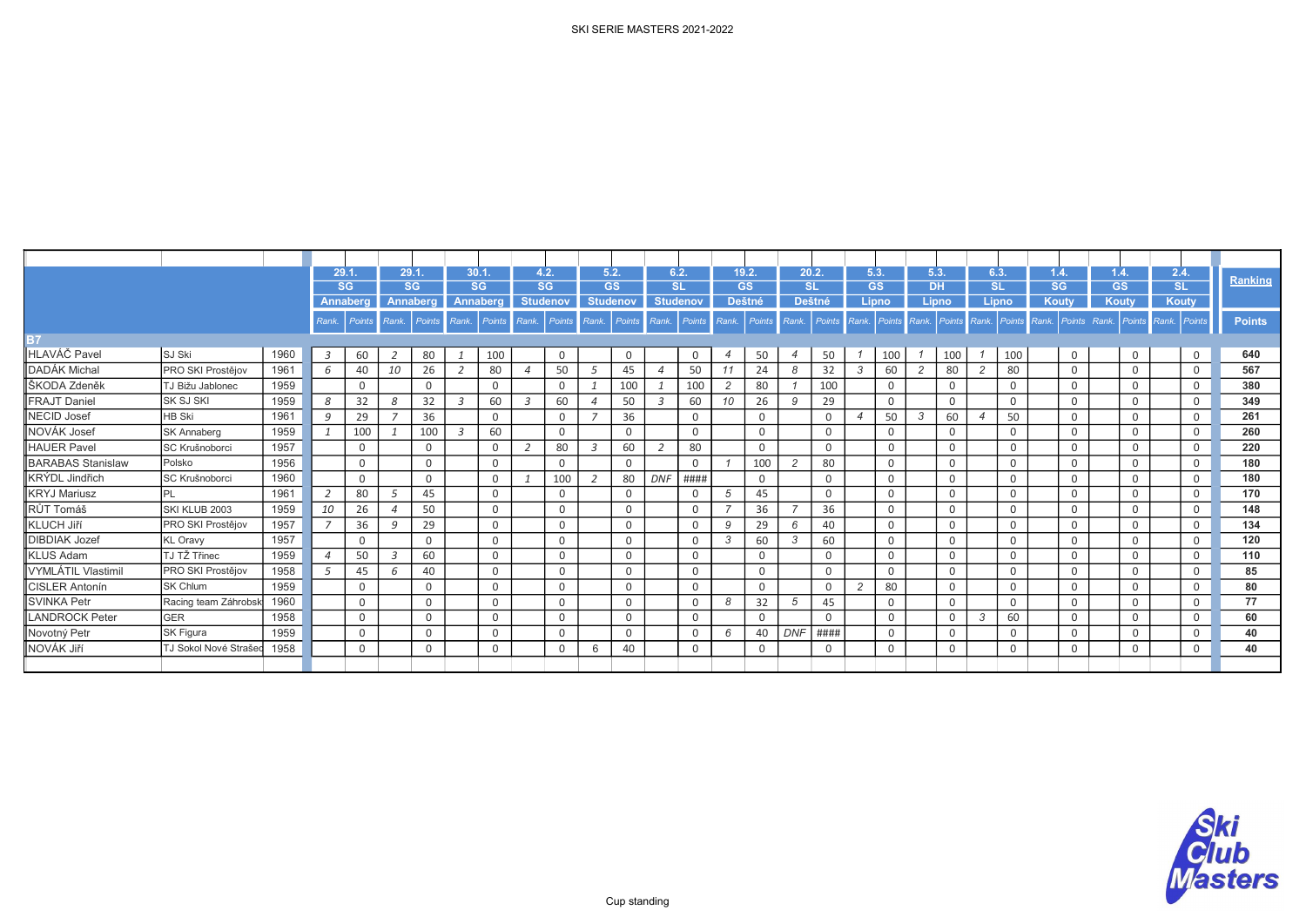|                          |                      |      |                | 29.1          |       | 29.1      |                | 30.1.       |       | 4.2.            | 5.2.            |           | 6.2.           |                 | 19.2.          |                     | 20.2.          |                     | 5.3.           |             | 5.3                |             | 6.3.                     |               | 1.4.               |          | 1.4.        |              | 2.4.           | Ranking       |
|--------------------------|----------------------|------|----------------|---------------|-------|-----------|----------------|-------------|-------|-----------------|-----------------|-----------|----------------|-----------------|----------------|---------------------|----------------|---------------------|----------------|-------------|--------------------|-------------|--------------------------|---------------|--------------------|----------|-------------|--------------|----------------|---------------|
|                          |                      |      |                | <b>SG</b>     |       | <b>SG</b> |                | <b>SG</b>   |       | <b>SG</b>       |                 | <b>GS</b> |                | <b>SL</b>       |                | <b>GS</b><br>Deštné |                | <b>SL</b><br>Deštné | <b>GS</b>      | Lipno       | <b>DH</b><br>Lipno |             | <b>SL</b>                | Lipno         | <b>SG</b><br>Kouty |          | <b>GS</b>   |              | SL<br>Kouty    |               |
|                          |                      |      |                | Annaberg      |       | Annaberg  |                | Annaberg    |       | <b>Studenov</b> | <b>Studenov</b> |           |                | <b>Studenov</b> |                |                     |                |                     |                |             |                    |             |                          |               |                    |          | Kouty       |              |                |               |
|                          |                      |      | Rank.          | <b>Points</b> | Rank. | Points    | Rank.          | Points      | Rank. | Points          | Rank.           | Points    | Rank.          | Points          | Rank.          | Points              | Rank.          | <b>Points</b>       | Rank.          | Points      | Rank.              | Points      | Rank.                    | <i>Points</i> | Rank.              | Points   | Rank.       | Points Rank. | Points         | <b>Points</b> |
| <b>B7</b>                |                      |      |                |               |       |           |                |             |       |                 |                 |           |                |                 |                |                     |                |                     |                |             |                    |             |                          |               |                    |          |             |              |                |               |
| <b>HLAVÁČ Pavel</b>      | <b>SJ Ski</b>        | 1960 | $\overline{3}$ | 60            | 2     | 80        |                | 100         |       | $\mathbf{0}$    |                 | 0         |                | 0               | $\overline{4}$ | 50                  | 4              | 50                  |                | 100         |                    | 100         |                          | 100           |                    | $\Omega$ |             | $\mathbf{0}$ | $\overline{0}$ | 640           |
| DADÁK Michal             | PRO SKI Prostějov    | 1961 | 6              | 40            | 10    | 26        | $\overline{2}$ | 80          |       | 50              | 5               | 45        |                | 50              |                | 24                  | 8              | 32                  | 3              | 60          | $\overline{2}$     | 80          | $\overline{c}$           | 80            |                    | $\Omega$ | 0           |              | 0              | 567           |
| ŠKODA Zdeněk             | TJ Bižu Jablonec     | 1959 |                | 0             |       | $\Omega$  |                | $\Omega$    |       | $\Omega$        |                 | 100       |                | 100             | $\overline{c}$ | 80                  |                | 100                 |                | $\Omega$    |                    | 0           |                          | $\Omega$      |                    | $\Omega$ | $\mathbf 0$ |              | $\Omega$       | 380           |
| <b>FRAJT Daniel</b>      | <b>SK SJ SKI</b>     | 1959 | 8              | 32            | 8     | 32        | 3              | 60          | 3     | 60              |                 | 50        | $\overline{3}$ | 60              | 10             | 26                  | 9              | 29                  |                | $\Omega$    |                    | 0           |                          |               |                    | $\Omega$ | 0           |              | $\Omega$       | 349           |
| <b>NECID Josef</b>       | <b>HB Ski</b>        | 1961 | 9              | 29            |       | 36        |                | 0           |       | 0               |                 | 36        |                | 0               |                | 0                   |                | 0                   |                | 50          | 3                  | 60          | $\boldsymbol{\varDelta}$ | 50            |                    | 0        | $\mathbf 0$ |              | $\mathbf 0$    | 261           |
| NOVÁK Josef              | <b>SK Annaberg</b>   | 1959 |                | 100           |       | 100       | 3              | 60          |       | $\Omega$        |                 | $\Omega$  |                | $\Omega$        |                | 0                   |                | 0                   |                | $\Omega$    |                    | $\mathbf 0$ |                          | $\Omega$      |                    | $\Omega$ |             | $\mathbf 0$  | $\Omega$       | 260           |
| <b>HAUER Pavel</b>       | SC Krušnoborci       | 1957 |                | 0             |       | 0         |                | 0           | 2     | 80              | 3               | 60        | 2              | 80              |                | $\mathbf{0}$        |                | 0                   |                | 0           |                    | $\mathbf 0$ |                          |               |                    | 0        | 0           |              | $\overline{0}$ | 220           |
| <b>BARABAS Stanislaw</b> | Polsko               | 1956 |                | 0             |       | 0         |                | 0           |       | $\Omega$        |                 | $\Omega$  |                | $\Omega$        |                | 100                 | $\overline{2}$ | 80                  |                | $\Omega$    |                    | $\mathbf 0$ |                          | $\Omega$      |                    | $\Omega$ | $\mathbf 0$ |              | $\Omega$       | 180           |
| <b>KRÝDL Jindřich</b>    | SC Krušnoborci       | 1960 |                | 0             |       | 0         |                | $\mathbf 0$ |       | 100             | $\overline{2}$  | 80        | <b>DNF</b>     | ####            |                | $\mathbf{0}$        |                | 0                   |                | $\mathbf 0$ |                    | $\mathbf 0$ |                          | $\cap$        |                    | $\Omega$ | $\mathbf 0$ |              | $\overline{0}$ | 180           |
| <b>KRYJ Mariusz</b>      | PL                   | 1961 | 2              | 80            | 5     | 45        |                | 0           |       | $\mathbf 0$     |                 | 0         |                | 0               | 5              | 45                  |                | 0                   |                | $\Omega$    |                    | $\mathbf 0$ |                          |               |                    | $\Omega$ | $\mathbf 0$ |              | $\overline{0}$ | 170           |
| RŮT Tomáš                | SKI KLUB 2003        | 1959 | 10             | 26            |       | 50        |                | $\Omega$    |       | $\Omega$        |                 | $\Omega$  |                | $\Omega$        |                | 36                  |                | 36                  |                | $\Omega$    |                    | $\Omega$    |                          |               |                    | $\Omega$ |             | $\Omega$     | $\Omega$       | 148           |
| <b>KLUCH Jiří</b>        | PRO SKI Prostějov    | 1957 |                | 36            | 9     | 29        |                | 0           |       | $\mathbf 0$     |                 | 0         |                | 0               | 9              | 29                  | 6              | 40                  |                | 0           |                    | $\mathbf 0$ |                          |               |                    | $\Omega$ | $\mathbf 0$ |              | $\Omega$       | 134           |
| <b>DIBDIAK Jozef</b>     | <b>KL</b> Oravv      | 1957 |                | $\mathbf 0$   |       | $\Omega$  |                | $\mathbf 0$ |       | 0               |                 | 0         |                | 0               | 3              | 60                  | 3              | 60                  |                | $\Omega$    |                    | $\mathbf 0$ |                          | $\Omega$      |                    | $\Omega$ |             | $\mathbf 0$  | $\overline{0}$ | 120           |
| <b>KLUS Adam</b>         | TJ TŽ Třinec         | 1959 |                | 50            | 3     | 60        |                | 0           |       | $\mathbf 0$     |                 | 0         |                | 0               |                | 0                   |                | 0                   |                | $\Omega$    |                    | 0           |                          |               |                    | $\Omega$ | 0           |              | $\Omega$       | 110           |
| ∨YMLÁTIL Vlastimil       | PRO SKI Prostějov    | 1958 | 5              | 45            | 6     | 40        |                | 0           |       | $\mathbf 0$     |                 | 0         |                | 0               |                | 0                   |                | 0                   |                | $\Omega$    |                    | $\mathbf 0$ |                          |               |                    | $\Omega$ | $\mathbf 0$ |              | $\mathbf{0}$   | 85            |
| <b>CISLER Antonín</b>    | SK Chlum             | 1959 |                | $\Omega$      |       | $\Omega$  |                | 0           |       | $\mathbf{0}$    |                 | 0         |                | 0               |                | $\Omega$            |                | $\Omega$            | $\overline{c}$ | 80          |                    | 0           |                          | $\cap$        |                    | $\Omega$ |             | $\Omega$     | $\Omega$       | 80            |
| <b>SVINKA Petr</b>       | Racing team Záhrobsk | 1960 |                | $\mathbf 0$   |       | 0         |                | 0           |       | $\mathbf{0}$    |                 | 0         |                | 0               | 8              | 32                  | 5              | 45                  |                | 0           |                    | $\mathbf 0$ |                          |               |                    | $\Omega$ | 0           |              | $\Omega$       | 77            |
| LANDROCK Peter           | GER                  | 1958 |                | 0             |       | 0         |                | 0           |       | 0               |                 | 0         |                | 0               |                | $\Omega$            |                | $\Omega$            |                | $\Omega$    |                    | $\Omega$    | 3                        | 60            |                    | $\Omega$ | 0           |              | $\Omega$       | 60            |
| Novotný Petr             | <b>SK Figura</b>     | 1959 |                | 0             |       | 0         |                | 0           |       | 0               |                 | $\Omega$  |                | $\Omega$        | 6              | 40                  | <b>DNF</b>     | ####                |                | $\mathbf 0$ |                    | $\mathbf 0$ |                          | $\Omega$      |                    | $\Omega$ |             | 0            | $\Omega$       | 40            |
| NOVÁK JIří               | TJ Sokol Nové Straše | 1958 |                | $\mathbf 0$   |       | 0         |                | 0           |       | $\mathbf{0}$    | 6               | 40        |                | 0               |                | 0                   |                | 0                   |                | $\mathbf 0$ |                    | $\mathbf 0$ |                          | $\Omega$      |                    | 0        | 0           |              | $\mathbf 0$    | 40            |
|                          |                      |      |                |               |       |           |                |             |       |                 |                 |           |                |                 |                |                     |                |                     |                |             |                    |             |                          |               |                    |          |             |              |                |               |

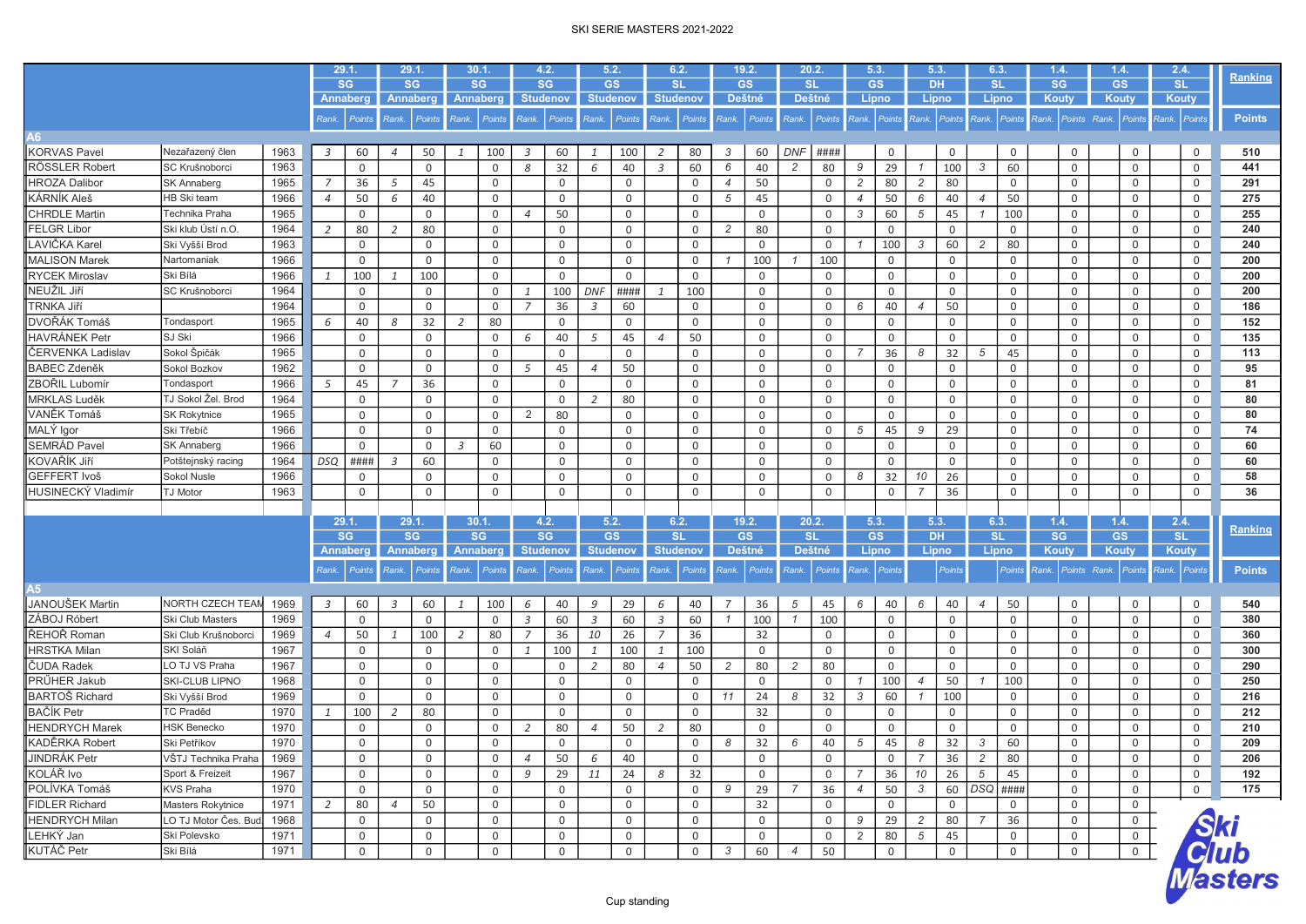|                           |                                            |      |                | 29.1.                        |                | 29.1                         | 30.1         |                       |                | 4.2.                         | 5.2.            |                              |                | 6.2.                         |                | 19.2.               |                | 20.2.               | 5.3.           |                    | 5.3.           |             | 6.3                    | 1.4.               |              | 1.4.                | 2.4.                      | <b>Ranking</b>                  |
|---------------------------|--------------------------------------------|------|----------------|------------------------------|----------------|------------------------------|--------------|-----------------------|----------------|------------------------------|-----------------|------------------------------|----------------|------------------------------|----------------|---------------------|----------------|---------------------|----------------|--------------------|----------------|-------------|------------------------|--------------------|--------------|---------------------|---------------------------|---------------------------------|
|                           |                                            |      |                | <b>SG</b><br><b>Annaberg</b> |                | <b>SG</b><br><b>Annaberg</b> |              | <b>SG</b><br>Annaberg |                | <b>SG</b><br><b>Studenov</b> |                 | <b>GS</b><br><b>Studenov</b> |                | <b>SL</b><br><b>Studenov</b> |                | <b>GS</b><br>Deštné |                | <b>SL</b><br>Deštné |                | <b>GS</b><br>Lipno | <b>DH</b>      | Lipno       | <b>SL</b><br>Lipno     | SG<br>Kouty        |              | <b>GS</b><br>Kouty  | <b>SL</b><br><b>Kouty</b> |                                 |
|                           |                                            |      |                |                              |                |                              |              |                       |                |                              |                 |                              |                |                              |                |                     |                |                     |                |                    |                |             |                        |                    |              |                     |                           |                                 |
|                           |                                            |      | Rank.          | Points                       | Rank.          | Points                       |              | Rank. Points          | Rank.          | <b>Points</b>                | Rank.           | <b>Points</b>                | Rank.          | Points                       | Rank.          | Points              | Rank.          | Points              | Rank.          | <b>Points</b>      | Rank.          | Points      | Rank.<br><b>Points</b> | Rank. Points Rank. |              | <b>Points</b>       | Rank. Points              | <b>Points</b>                   |
| A6                        |                                            |      |                |                              |                |                              |              |                       |                |                              |                 |                              |                |                              |                |                     |                |                     |                |                    |                |             |                        |                    |              |                     |                           |                                 |
| <b>KORVAS Pavel</b>       | Nezařazený člen                            | 1963 | 3              | 60                           | $\overline{4}$ | 50                           |              | 100                   | 3              | 60                           |                 | 100                          | 2              | 80                           | 3              | 60                  | <b>DNF</b>     | ####                |                | $\mathbf 0$        |                | $\Omega$    | $\mathbf 0$            | $\mathbf 0$        |              | 0                   | $\mathbf 0$               | 510                             |
| RÖSSLER Robert            | SC Krušnoborci                             | 1963 |                | $\mathbf 0$                  |                | 0                            |              | $\mathsf 0$           | 8              | 32                           | 6               | 40                           | 3              | 60                           | 6              | 40                  | 2              | 80                  | 9              | 29                 | $\mathcal I$   | 100         | 60<br>3                | $\mathsf 0$        |              | 0                   | 0                         | 441                             |
| <b>HROZA Dalibor</b>      | SK Annaberg                                | 1965 | 7              | 36                           | 5              | 45                           |              | $\mathbf 0$           |                | $\mathbf 0$                  |                 | $\mathbf 0$                  |                | 0                            | $\overline{4}$ | 50                  |                | $\mathbf 0$         | $\overline{c}$ | 80                 | $\overline{c}$ | 80          | $\mathsf 0$            | $\mathbf 0$        |              | $\mathbf 0$         | 0                         | 291                             |
| KÁRNÍK Aleš               | HB Ski team                                | 1966 | $\overline{4}$ | 50                           | 6              | 40                           |              | $\mathbf 0$           |                | $\mathbf 0$                  |                 | 0                            |                | 0                            | 5              | 45                  |                | 0                   | $\overline{4}$ | 50                 | 6              | 40          | 50<br>$\overline{4}$   | $\mathbf 0$        |              | 0                   | 0                         | 275                             |
| <b>CHRDLE Martin</b>      | Technika Praha                             | 1965 |                | 0                            |                | 0                            |              | $\mathsf{O}$          | $\overline{4}$ | 50                           |                 | $\mathbf 0$                  |                | $\mathbf 0$                  |                | $\mathbf 0$         |                | 0                   | 3              | 60                 | 5              | 45          | 100                    | $\mathsf 0$        |              | $\mathbf 0$         | 0                         | 255                             |
| <b>FELGR Libor</b>        | Ski klub Ústí n.O.                         | 1964 | 2              | 80                           | $\overline{2}$ | 80                           |              | $\mathsf{O}$          |                | $\mathbf 0$                  |                 | $\mathbf 0$                  |                | $\mathbf 0$                  | 2              | 80                  |                | $\mathbf 0$         |                | $\mathbf 0$        |                | 0           | $\mathsf 0$            | $\mathbf 0$        |              | 0                   | 0                         | 240                             |
| LAVIČKA Karel             | Ski Vyšší Brod                             | 1963 |                | $\mathbf 0$                  |                | 0                            |              | $\mathsf{O}$          |                | $\mathbf 0$                  |                 | $\mathbf 0$                  |                | $\mathbf 0$                  |                | $\mathbf 0$         |                | $\mathbf 0$         |                | 100                | 3              | 60          | 80<br>$\overline{c}$   | $\mathsf 0$        |              | $\mathbf 0$         | $\mathbf 0$               | 240                             |
| <b>MALISON Marek</b>      | Nartomaniak                                | 1966 |                | 0                            |                | 0                            |              | $\mathsf{O}$          |                | 0                            |                 | 0                            |                | $\Omega$                     |                | 100                 |                | 100                 |                | 0                  |                | 0           | $\mathsf 0$            | $\mathbf 0$        |              | $\mathbf 0$         | 0                         | 200                             |
| <b>RYCEK Miroslav</b>     | Ski Bílá                                   | 1966 | 1              | 100                          | 1              | 100                          |              | $\mathsf{O}$          |                | $\mathbf 0$                  |                 | $\mathbf 0$                  |                | $\mathbf 0$                  |                | $\mathbf 0$         |                | 0                   |                | $\mathbf 0$        |                | $\mathbf 0$ | $\mathsf 0$            | $\mathbf 0$        |              | $\mathsf{O}\xspace$ | 0                         | 200                             |
| NEUŽIL Jiří               | SC Krušnoborci                             | 1964 |                | $\mathbf 0$                  |                | 0                            |              | $\mathbf 0$           | 1              | 100                          | <b>DNF</b>      | ####                         | $\mathbf{1}$   | 100                          |                | $\mathbf 0$         |                | $\mathbf 0$         |                | $\mathbf 0$        |                | $\Omega$    | $\mathsf 0$            | $\mathbf 0$        |              | $\mathbf 0$         | $\mathbf 0$               | 200                             |
| TRNKA Jiří                |                                            | 1964 |                | 0                            |                | 0                            |              | 0                     | $\overline{7}$ | 36                           | $\overline{3}$  | 60                           |                | $\Omega$                     |                | 0                   |                | $\Omega$            | 6              | 40                 | $\overline{4}$ | 50          | $\mathsf 0$            | $\mathbf 0$        |              | 0                   | 0                         | 186                             |
| DVOŘÁK Tomáš              | Tondasport                                 | 1965 | 6              | 40                           | 8              | 32                           | 2            | 80                    |                | $\mathbf 0$                  |                 | $\mathbf 0$                  |                | $\mathbf 0$                  |                | $\mathsf 0$         |                | $\mathbf 0$         |                | $\mathbf 0$        |                | 0           | $\mathsf 0$            | $\mathsf 0$        |              | $\mathsf{O}\xspace$ | $\mathbf 0$               | 152                             |
| <b>HAVRÁNEK Petr</b>      | SJ Ski                                     | 1966 |                | $\mathbf 0$                  |                | 0                            |              | $\mathbf 0$           | 6              | 40                           | 5               | 45                           | $\overline{4}$ | 50                           |                | $\mathbf 0$         |                | $\mathbf 0$         |                | $\mathbf 0$        |                | $\mathbf 0$ | $\mathsf 0$            | $\mathbf 0$        |              | $\mathbf 0$         | 0                         | 135                             |
| ČERVENKA Ladislav         | Sokol Špičák                               | 1965 |                | 0                            |                | 0                            |              | 0                     |                | $\mathbf 0$                  |                 | 0                            |                | $\Omega$                     |                | 0                   |                | $\Omega$            | 7              | 36                 | 8              | 32          | 45<br>5                | $\mathbf 0$        |              | 0                   | 0                         | 113                             |
| <b>BABEC Zdeněk</b>       | Sokol Bozkov                               | 1962 |                | 0                            |                | 0                            |              | $\mathbf 0$           | 5              | 45                           | $\overline{4}$  | 50                           |                | $\mathbf 0$                  |                | $\mathsf 0$         |                | $\mathsf{O}$        |                | $\mathbf 0$        |                | 0           | $\mathsf 0$            | $\mathsf 0$        |              | $\mathsf{O}\xspace$ | 0                         | 95                              |
| ZBOŘIL Lubomí             | Tondasport                                 | 1966 | 5              | 45                           | 7              | 36                           |              | $\mathbf 0$           |                | $\mathbf 0$                  |                 | $\mathbf 0$                  |                | $\mathbf 0$                  |                | $\mathbf 0$         |                | $\mathbf 0$         |                | $\mathbf 0$        |                | $\mathbf 0$ | $\mathsf 0$            | $\mathbf 0$        |              | $\mathbf 0$         | 0                         | 81                              |
| MRKLAS Luděk              | TJ Sokol Žel. Brod                         | 1964 |                | 0                            |                | 0                            |              | $\mathsf{O}$          |                | 0                            | 2               | 80                           |                | 0                            |                | 0                   |                | 0                   |                | 0                  |                | $\mathbf 0$ | $\mathsf 0$            | $\mathsf 0$        |              | 0                   | $\mathbf 0$               | 80                              |
| VANĚK Tomáš               | <b>SK Rokytnice</b>                        | 1965 |                | 0                            |                | 0                            |              | $\mathsf{O}$          | 2              | 80                           |                 | $\mathbf 0$                  |                | $\mathbf 0$                  |                | $\mathbf 0$         |                | $\mathbf 0$         |                | $\mathbf 0$        |                | $\mathbf 0$ | $\mathsf 0$            | $\mathbf 0$        |              | 0                   | $\mathbf 0$               | 80                              |
| MALY Igor                 | Ski Třebíč                                 | 1966 |                | 0                            |                | 0                            |              | $\mathbf 0$           |                | $\mathbf 0$                  |                 | $\mathbf 0$                  |                | $\mathbf 0$                  |                | $\mathbf 0$         |                | $\mathbf 0$         | 5              | 45                 | 9              | 29          | $\mathsf{O}$           | $\mathbf 0$        |              | $\mathsf{O}$        | $\mathbf 0$               | 74                              |
| <b>SEMRÁD Pavel</b>       | <b>SK Annaberg</b>                         | 1966 |                | $\mathbf 0$                  |                | $\Omega$                     | 3            | 60                    |                | $\mathbf 0$                  |                 | $\mathbf 0$                  |                | $\Omega$                     |                | 0                   |                | $\mathbf 0$         |                | 0                  |                | $\mathbf 0$ | $\mathsf 0$            | $\mathsf 0$        |              | $\mathbf 0$         | $\mathbf 0$               | 60                              |
| KOVAŘÍK Jiří              | Potštejnský racing                         | 1964 | <b>DSQ</b>     | ####                         | $\overline{3}$ | 60                           |              | $\mathsf{O}$          |                | $\mathsf{O}$                 |                 | $\mathbf 0$                  |                | $\mathbf 0$                  |                | $\mathbf 0$         |                | $\mathbf 0$         |                | $\mathbf 0$        |                | $\mathbf 0$ | $\mathsf 0$            | $\mathbf 0$        |              | $\mathsf{O}$        | $\mathbf 0$               | 60                              |
| GEFFERT Ivoš              | Sokol Nusle                                | 1966 |                | 0                            |                | 0                            |              | $\mathsf{O}$          |                | $\mathbf 0$                  |                 | $\mathbf 0$                  |                | $\mathbf 0$                  |                | $\mathbf 0$         |                | 0                   | 8              | 32                 | 10             | 26          | $\mathsf 0$            | $\mathbf 0$        |              | $\mathsf{O}$        | 0                         | 58                              |
| HUSINECKÝ Vladimír        | <b>TJ Motor</b>                            | 1963 |                | 0                            |                | 0                            |              | $\mathsf{O}$          |                | $\mathsf{O}$                 |                 | $\mathbf 0$                  |                | $\mathbf 0$                  |                | $\mathbf 0$         |                | $\mathbf 0$         |                | 0                  | $\overline{7}$ | 36          | $\mathsf{O}$           | $\mathbf 0$        |              | $\mathsf{O}$        | 0                         | 36                              |
|                           |                                            |      |                |                              |                |                              |              |                       |                |                              |                 |                              |                |                              |                |                     |                |                     |                |                    |                |             |                        |                    |              |                     |                           |                                 |
|                           |                                            |      |                | 29.1.                        |                | 29.1.                        |              | 30.1                  |                | 4.2.                         | 5.2.            |                              |                | 6.2.                         |                | 19.2.               |                | 20.2.               | 5.3.           |                    | 5.3.           |             | 6.3                    | 1.4.               |              | 1.4.                | 2.4.                      |                                 |
|                           |                                            |      |                | <b>SG</b>                    |                | <b>SG</b>                    |              | <b>SG</b>             |                | <b>SG</b>                    | <b>GS</b>       |                              |                | <b>SL</b>                    |                | <b>GS</b>           |                | <b>SL</b>           |                | <b>GS</b>          | <b>DH</b>      |             | <b>SL</b>              | <b>SG</b>          |              | <b>GS</b>           | <b>SL</b>                 | <b>Ranking</b>                  |
|                           |                                            |      |                | <b>Annaberg</b>              |                | Annaberg                     |              | Annaberg              |                | <b>Studenov</b>              | <b>Studenov</b> |                              |                | <b>Studenov</b>              |                | Deštné              |                | <b>Deštné</b>       |                | Lipno              |                | Lipno       | Lipno                  | Kouty              |              | Kouty               | <b>Kouty</b>              |                                 |
|                           |                                            |      | Rank.          | <b>Points</b>                | Rank.          | <b>Points</b>                | Rank.        | Points                | Rank.          | Points                       | Rank.           | Points                       | Rank.          | Points                       | Rank.          | <b>Points</b>       | Rank.          | Points              | Rank.          | Points             |                | Points      | Points                 | Rank.              | Points Rank. | <b>Points</b>       | Rank.<br>Points           | <b>Points</b>                   |
| A5                        |                                            |      |                |                              |                |                              |              |                       |                |                              |                 |                              |                |                              |                |                     |                |                     |                |                    |                |             |                        |                    |              |                     |                           |                                 |
| JANOUŠEK Martin           | NORTH CZECH TEAN                           | 1969 | 3              | 60                           | $\overline{3}$ | 60                           | $\mathbf{1}$ | 100                   | 6              | 40                           | 9               | 29                           | 6              | 40                           | $\overline{7}$ | 36                  | 5              | 45                  | 6              | 40                 | 6              | 40          | 50<br>$\overline{4}$   | $\mathbf 0$        |              | $\mathbf 0$         | 0                         | 540                             |
| ZÁBOJ Róbert              | Ski Club Masters                           | 1969 |                | $\mathbf 0$                  |                | 0                            |              | $\mathbf 0$           | $\overline{3}$ | 60                           | $\overline{3}$  | 60                           | $\overline{3}$ | 60                           | $\overline{1}$ | 100                 | $\overline{1}$ | 100                 |                | $\mathbf 0$        |                | $\mathbf 0$ | $\mathbf 0$            | $\mathbf 0$        |              | $\mathsf{O}$        | $\mathbf 0$               | 380                             |
| ŘEHOŘ Roman               | Ski Club Krušnoborci                       | 1969 | $\overline{4}$ | 50                           | 1              | 100                          | 2            | 80                    | $\overline{7}$ | 36                           | 10              | 26                           | $\overline{7}$ | 36                           |                | 32                  |                | $\mathbf 0$         |                | $\mathbf 0$        |                | $\mathbf 0$ | $\mathsf 0$            | $\mathbf 0$        |              | $\mathbf 0$         | $\mathbf 0$               | 360                             |
| <b>HRSTKA Milan</b>       | SKI Solář                                  | 1967 |                | $\mathbf 0$                  |                | 0                            |              | $\mathbf 0$           | $\mathbf{1}$   | 100                          | $\mathbf{1}$    | 100                          | $\mathbf{1}$   | 100                          |                | $\mathbf 0$         |                | 0                   |                | 0                  |                | $\Omega$    | $\mathsf 0$            | $\mathbf 0$        |              | 0                   | 0                         | 300                             |
| ČUDA Radek                | LO TJ VS Praha                             | 1967 |                | 0                            |                | 0                            |              | $\mathbf 0$           |                | $\mathbf 0$                  | 2               | 80                           | $\overline{4}$ | 50                           | 2              | 80                  | 2              | 80                  |                | $\mathbf 0$        |                | $\mathbf 0$ | $\mathsf 0$            | $\mathbf 0$        |              | $\mathsf{O}$        | $\mathbf 0$               | 290                             |
| PRŰHER Jakub              | <b>SKI-CLUB LIPNO</b>                      | 1968 |                | 0                            |                | 0                            |              | $\mathsf{O}$          |                | $\mathbf 0$                  |                 | $\mathbf 0$                  |                | $\Omega$                     |                | $\mathbf 0$         |                | $\mathbf 0$         | $\mathcal I$   | 100                | $\overline{4}$ | 50          | 100                    | $\mathsf 0$        |              | $\mathsf{O}\xspace$ | 0                         | 250                             |
| <b>BARTOŠ Richard</b>     | Ski Vyšší Brod                             | 1969 |                | 0                            |                | 0                            |              | $\mathsf{O}$          |                | $\mathbf 0$                  |                 | $\mathbf 0$                  |                | $\Omega$                     | 11             | 24                  | 8              | 32                  | 3              | 60                 |                | 100         | $\mathbf 0$            | $\mathsf 0$        |              | 0                   | 0                         | 216                             |
| <b>BAČÍK Petr</b>         | <b>TC Praděd</b>                           | 1970 | 1              | 100                          | 2              | 80                           |              | $\mathbf 0$           |                | 0                            |                 | $\mathbf 0$                  |                | $\mathbf 0$                  |                | 32                  |                | $\mathsf{O}$        |                | 0                  |                | 0           | $\mathsf 0$            | $\mathbf 0$        |              | $\mathsf{O}$        | 0                         | 212                             |
| <b>HENDRYCH Marek</b>     | <b>HSK Benecko</b>                         | 1970 |                |                              |                |                              |              | 0                     |                | 80                           | $\overline{4}$  | 50                           |                | 80                           |                | $\mathbf 0$         |                | $\mathbf 0$         |                | $\mathbf 0$        |                | $\Omega$    | $\mathsf 0$            | $\mathbf 0$        |              | 0                   | 0                         | 210                             |
| KADĚRKA Robert            | Ski Petříkov                               | 1970 |                | 0<br>$\mathbf 0$             |                | 0<br>0                       |              |                       | 2              | $\mathbf 0$                  |                 | $\mathbf 0$                  | 2              | $\Omega$                     | 8              |                     | 6              |                     | 5              |                    | 8              |             | 3                      | $\mathsf 0$        |              |                     |                           | 209                             |
|                           | VŠTJ Technika Praha                        | 1969 |                |                              |                |                              |              | 0                     |                |                              |                 |                              |                |                              |                | 32                  |                | 40                  |                | 45                 |                | 32          | 60                     |                    |              | 0                   | $\mathbf 0$               |                                 |
| JINDRÁK Petr<br>KOLÁŘ Ivo |                                            |      |                | 0                            |                | 0                            |              | $\mathsf{O}\xspace$   | $\overline{4}$ | 50                           | 6               | 40                           |                | 0                            |                | $\cup$              |                | $\cup$              |                | $\cup$             | $\overline{7}$ | 36          | $\overline{c}$<br>80   | $\mathbf 0$        |              | $\overline{0}$      | $\cup$                    | 206                             |
|                           | Sport & Freizeit                           | 1967 |                | 0                            |                | 0                            |              | $\mathbf 0$           | 9              | 29                           | 11              | 24                           | 8              | 32                           |                | $\mathbf 0$         |                | $\mathbf 0$         | $\overline{7}$ | 36                 | 10             | 26          | $5\overline{)}$<br>45  | $\mathbf 0$        |              | 0                   | $\mathbf 0$               | 192                             |
| POLÍVKA Tomáš             | <b>KVS Praha</b>                           | 1970 |                | 0                            |                | 0                            |              | 0                     |                | 0                            |                 | 0                            |                | 0                            | 9              | 29                  | 7              | 36                  | $\overline{4}$ | 50                 | $\mathcal{S}$  |             | 60   DSQ   ####        | $\mathbf 0$        |              | $\mathbf 0$         | $\overline{0}$            | 175                             |
| <b>FIDLER Richard</b>     | Masters Rokytnice<br>LO TJ Motor Čes. Bud. | 1971 | $\overline{2}$ | 80                           | $\overline{4}$ | 50                           |              | 0                     |                | 0                            |                 | 0                            |                | 0                            |                | 32                  |                | $\mathbf 0$         |                | $\overline{0}$     |                | 0           | $\overline{0}$         | $\mathbf 0$        |              | $\mathbf 0$         |                           |                                 |
| <b>HENDRYCH Milan</b>     |                                            | 1968 |                | 0                            |                | 0                            |              | $\mathsf{O}$          |                | $\mathbf 0$                  |                 | 0                            |                | $\mathbf 0$                  |                | $\mathbf 0$         |                | 0                   | 9              | 29                 | $\overline{c}$ | 80          | 36<br>$\overline{7}$   | $\mathsf 0$        |              | $\mathsf{O}$        |                           |                                 |
| LEHKÝ Jan                 | Ski Polevsko                               | 1971 |                | 0                            |                | 0                            |              | $\mathsf{O}$          |                | $\overline{0}$               |                 | 0                            |                | $\mathbf 0$                  |                | $\mathsf{O}$        |                | $\mathsf{O}$        | $\overline{c}$ | 80                 | $\sqrt{5}$     | 45          | $\overline{0}$         | $\mathbf 0$        |              | $\overline{0}$      |                           |                                 |
| KUTÁČ Petr                | Ski Bílá                                   | 1971 |                | 0                            |                | 0                            |              | $\mathbf 0$           |                | $\mathbf 0$                  |                 | 0                            |                | 0                            | 3              | 60                  | $\overline{4}$ | 50                  |                | $\mathbf 0$        |                | 0           | $\overline{0}$         | $\mathsf{O}$       |              | $\overline{0}$      |                           |                                 |
|                           |                                            |      |                |                              |                |                              |              |                       |                |                              |                 |                              |                |                              |                |                     |                |                     |                |                    |                |             |                        |                    |              |                     |                           | <i>Ski<br/>Club<br/>Masters</i> |
|                           |                                            |      |                |                              |                |                              |              |                       |                |                              |                 |                              |                |                              |                |                     |                |                     |                |                    |                |             |                        |                    |              |                     |                           |                                 |

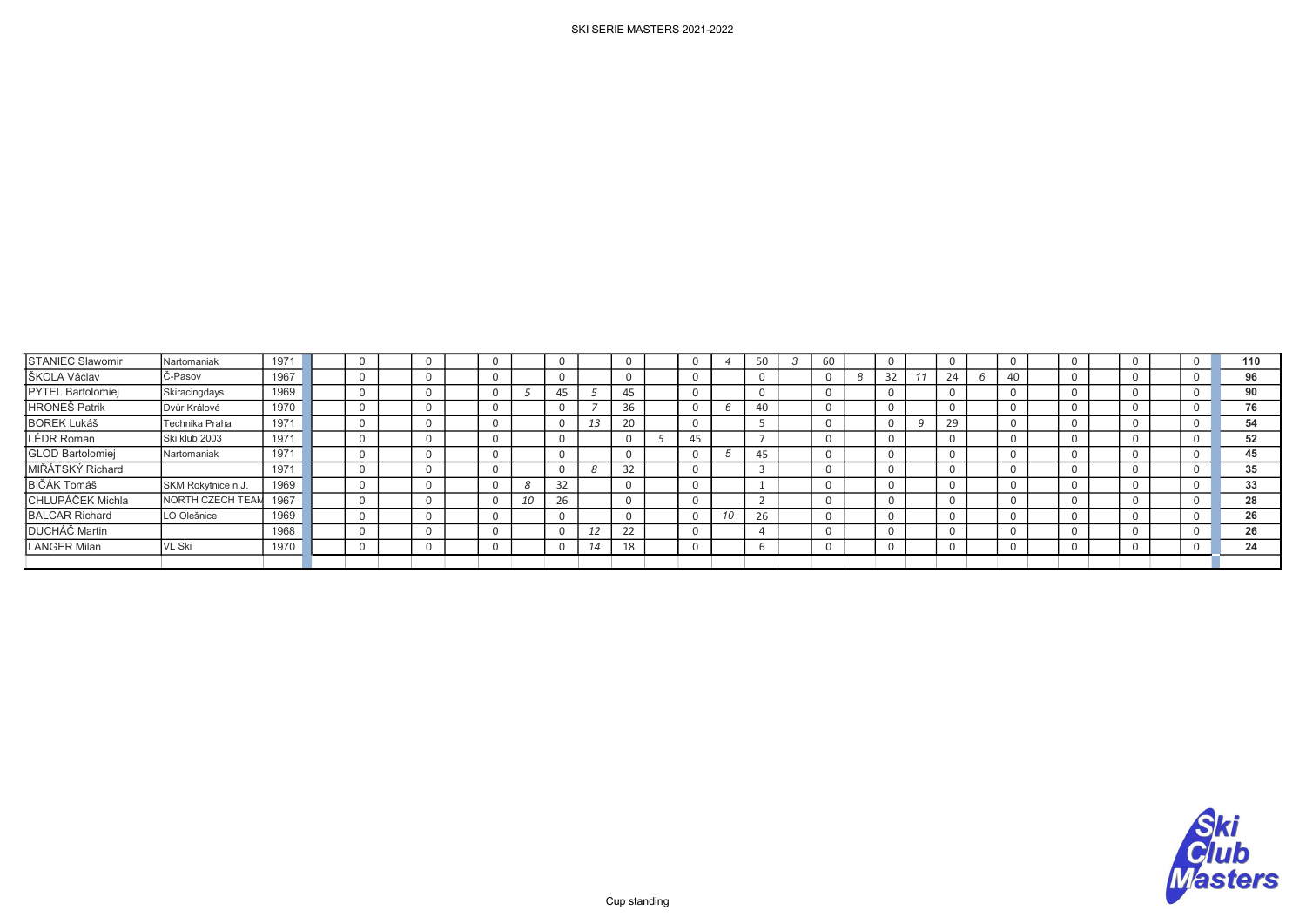# STANIEC Slawomir |Nartomaniak | 1971 | | | 0 | | 0 | | 0 | | 0 | | 0 | | 0 | 4 | 50 | 3 | 60 | | 0 | | 0 | | 0 | | 0 | | 0 | | 0 | 110 ŠKOLA Václav |Č-Pasov | 1967 | | | 0 | | 0 | | 0 | | 0 | | 0 | | 0 | | 0 | | 0 | | 0 | | 0 | | 0 | | 0 | | 0 | 96 PYTEL Bartolomiej Skiracingdays |1969 | | 0 | | 0 | 5 | 45 | 5 | 45 | | 0 | | 0 | | 0 | | 0 | | 0 | | 0 | | 0 | | 0 | | 0 | | 0 | 90 HRONEŠ Patrik | Dvůr Králové | 1970 | | | 0 | | 0 | | 0 | 7 | 36 | | 0 | 6 | 40 | | 0 | | 0 | | 0 | | 0 | | 0 | | 0 | | 0 | | 0 | 76 BOREK Lukáš | Technika Praha | 1971 | | | 0 | | 0 | | 0 | 13 | 20 | | 0 | | 5 | | 0 | | 0 | 9 | 29 | | 0 | | 0 | | 0 | | 0 | 54 LÉDR Roman Ski klub 2003 | 1971 | | | 0 | | 0 | | 0 | | 0 | | 0 | 5 | 45 | | 7 | | 0 | | 0 | | 0 | | 0 | | 0 | | 0 | | 0 | 52 GLOD Bartolomiej Nartomaniak | 1971 | | | 0 | | 0 | | 0 | | 0 | | 0 | 5 | 45 | | 0 | | 0 | | 0 | | 0 | | 0 | | 0 | | 0 | | 0 | 45 MIŘÁTSKÝ Richard 1971 0 0 0 0 8 32 0 3 0 0 0 0 0 0 0 <sup>35</sup> BIČÁK Tomáš SKM Rokytnice n.J. | 1969 | | 0 | | 0 | 8 | 32 | | 0 | | 0 | | 1 | | 0 | | 0 | | 0 | | 0 | | 0 | | 0 | 33 CHLUPÁČEK Michla NORTH CZECH TEAM <sup>1967</sup> 0 0 0 10 26 0 0 2 0 0 0 0 0 0 0 <sup>28</sup> BALCAR Richard LO Olešnice | 1969 | | 0 | | 0 | | 0 | | 0 | | 0 | 10 | 26 | | 0 | | 0 | | 0 | | 0 | | 0 | | 0 | | 0 | 26 DUCHÁČ Martin | 1968 | 0 | 0 | 0 | 0 | 12 | 22 | | 0 | 14 | | 0 | | 0 | | 0 | | 0 | | 0 | | 0 | 26 LANGER Milan VL Ski <sup>1970</sup> 0 0 0 0 14 18 0 6 0 0 0 0 0 0 0 <sup>24</sup>

Cup standing

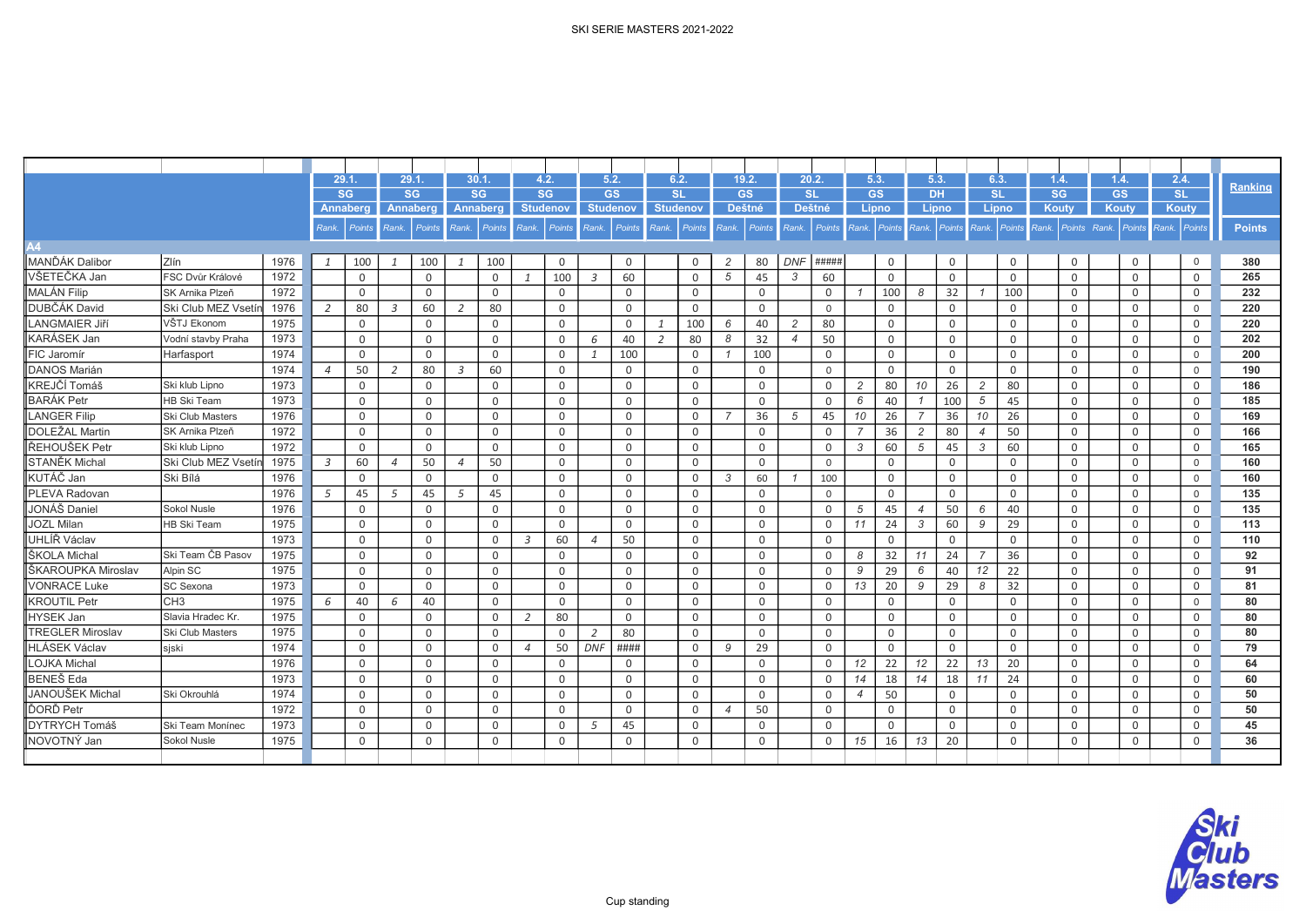|                         |                         |      | 29.1           |               | 29.1           |             | 30.1.          |                 |                 | 4.2.        |                          | 5.2.            |       | 6.2.            |                | 19.2.          |                          | 20.2.          | 5.3.           |             | 5.3.           |               | 6.3.           |               | 1.4.      |                | 1.4.      |               | 2.4.            | <b>Ranking</b> |
|-------------------------|-------------------------|------|----------------|---------------|----------------|-------------|----------------|-----------------|-----------------|-------------|--------------------------|-----------------|-------|-----------------|----------------|----------------|--------------------------|----------------|----------------|-------------|----------------|---------------|----------------|---------------|-----------|----------------|-----------|---------------|-----------------|----------------|
|                         |                         |      |                | <b>SG</b>     |                | <b>SG</b>   |                | <b>SG</b>       |                 | <b>SG</b>   |                          | <b>GS</b>       |       | SL              |                | <b>GS</b>      |                          | <b>SL</b>      | <b>GS</b>      |             | <b>DH</b>      |               | <b>SL</b>      |               | <b>SG</b> |                | <b>GS</b> |               | SL              |                |
|                         |                         |      |                | Annaberg      |                | Annaberɑ    |                | <b>Annaberg</b> | <b>Studenov</b> |             |                          | <b>Studenov</b> |       | <b>Studenov</b> |                | <b>Deštné</b>  |                          | <b>Deštné</b>  |                | Lipno       | Lipno          |               | Lipno          |               | Kouty     |                | Kouty     |               | Kouty           |                |
|                         |                         |      | Rank           | <b>Points</b> | Rank.          | Points      | Rank.          | Points          | Rank.           | Points      | Rank.                    | Points          | Rank. | Points          | Rank.          | Points         | Rank.                    | <b>Points</b>  | Rank           | Points      | Rank.          | <b>Points</b> | Rank.          | <b>Points</b> | Rank.     | Points Rank.   |           | <b>Points</b> | Rank.<br>Points | <b>Points</b>  |
| 44                      |                         |      |                |               |                |             |                |                 |                 |             |                          |                 |       |                 |                |                |                          |                |                |             |                |               |                |               |           |                |           |               |                 |                |
| MANĎÁK Dalibor          | Zlín                    | 1976 | 1              | 100           | 1              | 100         | -1             | 100             |                 | $\mathbf 0$ |                          | $\mathbf 0$     |       | $\Omega$        | $\overline{c}$ | 80             | <b>DNF</b>               | ####           |                | 0           |                | $\mathbf 0$   |                | $\mathbf 0$   |           | $\mathbf 0$    |           | $\mathbf 0$   | $\overline{0}$  | 380            |
| VŠETEČKA Jan            | FSC Dvůr Králové        | 1972 |                | $\mathbf 0$   |                | $\mathbf 0$ |                | $\Omega$        | $\mathbf{1}$    | 100         | $\mathfrak{Z}$           | 60              |       | $\Omega$        | 5              | 45             | $\mathcal{S}$            | 60             |                | $\Omega$    |                | $\Omega$      |                | $\Omega$      |           | $\Omega$       |           | $\mathbf 0$   | $\Omega$        | 265            |
| <b>MALÁN Filip</b>      | SK Arnika Plzeň         | 1972 |                | $\mathbf 0$   |                | $\mathbf 0$ |                | $\Omega$        |                 | $\mathbf 0$ |                          | $\mathbf 0$     |       | $\mathbf 0$     |                | $\overline{0}$ |                          | $\mathbf 0$    | $\overline{1}$ | 100         | 8              | 32            |                | 100           |           | $\mathbf 0$    |           | $\mathbf 0$   | $\mathbf 0$     | 232            |
| DUBČÁK David            | Ski Club MEZ Vsetín     | 1976 | 2              | 80            | $\overline{3}$ | 60          | $\overline{2}$ | 80              |                 | $\mathbf 0$ |                          | $\Omega$        |       | $\Omega$        |                | $\Omega$       |                          | $\overline{0}$ |                | 0           |                | $\mathbf{0}$  |                | $\mathbf 0$   |           | $\mathbf 0$    |           | $\mathbf 0$   | $\mathbf{0}$    | 220            |
| <b>LANGMAIER Jiří</b>   | VŠTJ Ekonom             | 1975 |                | $\mathbf 0$   |                | $\mathbf 0$ |                | $\Omega$        |                 | $\Omega$    |                          | $\Omega$        |       | 100             | 6              | 40             | $\overline{2}$           | 80             |                | 0           |                | 0             |                | $\mathbf 0$   |           | $\mathbf 0$    |           | $\mathbf 0$   | $\mathbf 0$     | 220            |
| KARÁSEK Jan             | Vodní stavby Praha      | 1973 |                | $\mathbf 0$   |                | $\mathbf 0$ |                | $\Omega$        |                 | $\Omega$    | 6                        | 40              | 2     | 80              | 8              | 32             | $\boldsymbol{\varDelta}$ | 50             |                | 0           |                | 0             |                | $\mathbf 0$   |           | $\mathbf 0$    |           | $\mathbf 0$   | $\mathbf 0$     | 202            |
| FIC Jaromír             | Harfasport              | 1974 |                | $\mathbf 0$   |                | $\mathbf 0$ |                | $\Omega$        |                 | $\Omega$    | $\mathbf{1}$             | 100             |       | $\mathbf 0$     |                | 100            |                          | $\mathbf 0$    |                | 0           |                | 0             |                | $\mathbf 0$   |           | $\mathbf 0$    |           | $\mathbf 0$   | $\mathbf{0}$    | 200            |
| <b>DANOS Marián</b>     |                         | 1974 | $\overline{4}$ | 50            | 2              | 80          | $\overline{3}$ | 60              |                 | 0           |                          | 0               |       | $\mathbf{0}$    |                | $\overline{0}$ |                          | $\overline{0}$ |                | 0           |                | 0             |                | 0             |           | $\mathbf 0$    |           | 0             | $\mathbf{0}$    | 190            |
| KREJČÍ Tomáš            | Ski klub Lipno          | 1973 |                | $\mathbf 0$   |                | $\mathbf 0$ |                | 0               |                 | $\mathbf 0$ |                          | $\mathbf 0$     |       | $\overline{0}$  |                | $\overline{0}$ |                          | $\mathbf 0$    | 2              | 80          | 10             | 26            | $\overline{2}$ | 80            |           | $\overline{0}$ |           | $\mathbf 0$   | $\mathbf 0$     | 186            |
| <b>BARÁK Petr</b>       | <b>HB Ski Team</b>      | 1973 |                | $\mathbf 0$   |                | $\mathbf 0$ |                | 0               |                 | $\mathbf 0$ |                          | $\mathbf 0$     |       | $\Omega$        |                | $\overline{0}$ |                          | $\Omega$       | 6              | 40          |                | 100           | 5              | 45            |           | $\mathbf 0$    |           | $\mathbf 0$   | 0               | 185            |
| <b>LANGER Filip</b>     | Ski Club Masters        | 1976 |                | $\Omega$      |                | $\Omega$    |                | $\Omega$        |                 | $\Omega$    |                          | $\Omega$        |       | $\Omega$        |                | 36             | 5                        | 45             | 10             | 26          | $\overline{7}$ | 36            | 10             | 26            |           | $\Omega$       |           | $\Omega$      | $\Omega$        | 169            |
| <b>DOLEŽAL Martin</b>   | SK Arnika Plzeň         | 1972 |                | $\mathbf 0$   |                | $\mathbf 0$ |                | $\Omega$        |                 | $\Omega$    |                          | $\Omega$        |       | $\Omega$        |                | $\Omega$       |                          | $\Omega$       |                | 36          | $\overline{c}$ | 80            | $\overline{4}$ | 50            |           | $\Omega$       |           | $\mathbf 0$   | $\Omega$        | 166            |
| ŘEHOUŠEK Petr           | Ski klub Lipno          | 1972 |                | $\Omega$      |                | $\Omega$    |                | $\Omega$        |                 | $\Omega$    |                          | $\Omega$        |       | $\Omega$        |                | $\Omega$       |                          | $\Omega$       | 3              | 60          | 5              | 45            | 3              | 60            |           | $\Omega$       |           | $\Omega$      | $\Omega$        | 165            |
| <b>STANĚK Michal</b>    | Ski Club MEZ Vsetín     | 1975 | $\overline{3}$ | 60            | $\overline{4}$ | 50          | $\overline{4}$ | 50              |                 | $\Omega$    |                          | $\Omega$        |       | $\Omega$        |                | $\Omega$       |                          | $\Omega$       |                | 0           |                | $\mathbf{0}$  |                | $\Omega$      |           | $\mathbf{0}$   |           | $\mathbf 0$   | $\mathbf{0}$    | 160            |
| KUTÁČ Jan               | Ski Bílá                | 1976 |                | $\Omega$      |                | $\Omega$    |                | $\Omega$        |                 | $\Omega$    |                          | $\Omega$        |       | $\Omega$        | $\mathbf{3}$   | 60             |                          | 100            |                | 0           |                | $\mathbf{0}$  |                | $\mathbf 0$   |           | $\mathbf 0$    |           | $\mathbf 0$   | $\Omega$        | 160            |
| <b>PLEVA Radovan</b>    |                         | 1976 | 5              | 45            | 5              | 45          | 5              | 45              |                 | $\Omega$    |                          | $\Omega$        |       | $\Omega$        |                | $\mathbf 0$    |                          | $\Omega$       |                | $\Omega$    |                | $\Omega$      |                | $\Omega$      |           | $\mathbf 0$    |           | $\mathbf 0$   | $\Omega$        | 135            |
| JONÁŠ Daniel            | Sokol Nusle             | 1976 |                | $\mathbf 0$   |                | $\mathbf 0$ |                | $\Omega$        |                 | $\Omega$    |                          | $\Omega$        |       | $\Omega$        |                | $\Omega$       |                          | $\Omega$       | 5              | 45          | $\overline{4}$ | 50            | 6              | 40            |           | $\mathbf 0$    |           | $\mathbf 0$   | $\Omega$        | 135            |
| <b>JOZL Milan</b>       | <b>HB Ski Team</b>      | 1975 |                | $\mathbf 0$   |                | $\mathbf 0$ |                | $\Omega$        |                 | $\Omega$    |                          | $\Omega$        |       | $\Omega$        |                | $\overline{0}$ |                          | $\mathbf 0$    | 11             | 24          | 3              | 60            | 9              | 29            |           | $\mathbf 0$    |           | $\mathbf 0$   | $\Omega$        | 113            |
| UHLÍŘ Václav            |                         | 1973 |                | $\mathbf 0$   |                | $\mathbf 0$ |                | $\Omega$        | 3               | 60          | $\Delta$                 | 50              |       | $\Omega$        |                | $\overline{0}$ |                          | $\Omega$       |                | 0           |                | 0             |                | $\Omega$      |           | $\mathbf 0$    |           | $\mathbf 0$   | $\Omega$        | 110            |
| ŠKOLA Michal            | Ski Team ČB Pasov       | 1975 |                | $\mathsf{O}$  |                | $\mathbf 0$ |                | $\mathbf 0$     |                 | $\mathbf 0$ |                          | $\mathbf 0$     |       | $\Omega$        |                | $\mathbf 0$    |                          | $\Omega$       | 8              | 32          | 11             | 24            | $\overline{7}$ | 36            |           | $\overline{0}$ |           | $\mathbf 0$   | $\mathbf 0$     | 92             |
| ŠKAROUPKA Miroslav      | Alpin SC                | 1975 |                | $\mathbf 0$   |                | $\mathbf 0$ |                | 0               |                 | 0           |                          | 0               |       | $\Omega$        |                | $\overline{0}$ |                          | $\Omega$       | 9              | 29          | 6              | 40            | 12             | 22            |           | $\mathbf 0$    |           | 0             | $\Omega$        | 91             |
| <b>VONRACE Luke</b>     | SC Sexona               | 1973 |                | $\mathbf 0$   |                | $\mathbf 0$ |                | $\Omega$        |                 | $\Omega$    |                          | $\mathbf 0$     |       | $\Omega$        |                | $\mathbf 0$    |                          | $\Omega$       | 13             | 20          | 9              | 29            | 8              | 32            |           | $\mathbf 0$    |           | $\mathbf 0$   | $\mathbf 0$     | 81             |
| <b>KROUTIL Petr</b>     | CH3                     | 1975 | 6              | 40            | 6              | 40          |                | $\Omega$        |                 | $\mathbf 0$ |                          | $\mathbf 0$     |       | $\Omega$        |                | $\mathbf 0$    |                          | $\mathbf 0$    |                | $\mathbf 0$ |                | $\mathbf 0$   |                | $\mathbf 0$   |           | $\mathbf 0$    |           | $\mathbf 0$   | $\mathbf{0}$    | 80             |
| <b>HYSEK Jan</b>        | Slavia Hradec Kr.       | 1975 |                | $\mathbf 0$   |                | $\mathbf 0$ |                | $\Omega$        | 2               | 80          |                          | $\mathbf 0$     |       | $\Omega$        |                | $\overline{0}$ |                          | $\mathbf 0$    |                | $\mathbf 0$ |                | $\mathbf{0}$  |                | $\mathbf 0$   |           | $\mathbf 0$    |           | 0             | $\overline{0}$  | 80             |
| <b>TREGLER Miroslav</b> | <b>Ski Club Masters</b> | 1975 |                | $\mathbf 0$   |                | $\mathbf 0$ |                | $\Omega$        |                 | $\Omega$    | $\overline{\phantom{a}}$ | 80              |       | $\Omega$        |                | $\mathbf 0$    |                          | $\mathbf 0$    |                | 0           |                | $\mathbf{0}$  |                | $\mathbf 0$   |           | $\mathbf 0$    |           | $\mathbf 0$   | $\Omega$        | 80             |
| <b>HLÁSEK Václav</b>    | sjski                   | 1974 |                | $\mathsf{O}$  |                | $\mathbf 0$ |                | $\mathbf 0$     | $\overline{4}$  | 50          | <b>DNF</b>               | ####            |       | $\Omega$        | 9              | 29             |                          | $\Omega$       |                | 0           |                | $\mathbf{0}$  |                | $\mathbf 0$   |           | $\mathsf{O}$   |           | $\mathbf 0$   | $\mathbf 0$     | 79             |
| <b>LOJKA Michal</b>     |                         | 1976 |                | $\mathbf 0$   |                | $\mathbf 0$ |                | 0               |                 | 0           |                          | 0               |       | $\mathbf 0$     |                | $\overline{0}$ |                          | $\Omega$       | 12             | 22          | 12             | 22            | 13             | 20            |           | $\mathbf 0$    |           | $\mathbf 0$   | 0               | 64             |
| <b>BENEŠ</b> Eda        |                         | 1973 |                | $\mathbf 0$   |                | $\mathbf 0$ |                | $\Omega$        |                 | $\Omega$    |                          | 0               |       | $\Omega$        |                | $\mathbf 0$    |                          | $\Omega$       | 14             | 18          | 14             | 18            | 11             | 24            |           | $\mathbf 0$    |           | $\mathbf 0$   | 0               | 60             |
| <b>JANOUŠEK Michal</b>  | Ski Okrouhlá            | 1974 |                | $\mathbf 0$   |                | $\mathbf 0$ |                | $\Omega$        |                 | $\Omega$    |                          | $\Omega$        |       | $\Omega$        |                | $\Omega$       |                          | $\Omega$       | $\overline{4}$ | 50          |                | 0             |                | $\mathbf 0$   |           | $\mathbf 0$    |           | $\mathbf 0$   | $\Omega$        | 50             |
| ĎORĎ Petr               |                         | 1972 |                | $\mathbf 0$   |                | $\mathbf 0$ |                | $\Omega$        |                 | $\Omega$    |                          | $\Omega$        |       | $\Omega$        | $\overline{4}$ | 50             |                          | $\mathbf 0$    |                | $\Omega$    |                | $\Omega$      |                | $\mathbf 0$   |           | $\mathbf 0$    |           | $\mathbf 0$   | $\Omega$        | 50             |
| <b>DYTRYCH Tomáš</b>    | Ski Team Moníneo        | 1973 |                | $\mathbf 0$   |                | $\mathbf 0$ |                | $\Omega$        |                 | $\Omega$    | 5                        | 45              |       | $\Omega$        |                | $\Omega$       |                          | $\Omega$       |                | 0           |                | 0             |                | $\mathbf 0$   |           | $\mathbf 0$    |           | $\mathbf 0$   | $\Omega$        | 45             |
| NOVOTNÝ Jan             | Sokol Nusle             | 1975 |                | $\mathbf 0$   |                | $\mathbf 0$ |                | $\mathbf 0$     |                 | $\mathbf 0$ |                          | $\mathbf 0$     |       | $\Omega$        |                | $\mathbf 0$    |                          | $\mathbf 0$    | 15             | 16          | 13             | 20            |                | $\mathbf 0$   |           | $\mathbf{0}$   |           | $\mathsf{O}$  | $\Omega$        | 36             |
|                         |                         |      |                |               |                |             |                |                 |                 |             |                          |                 |       |                 |                |                |                          |                |                |             |                |               |                |               |           |                |           |               |                 |                |

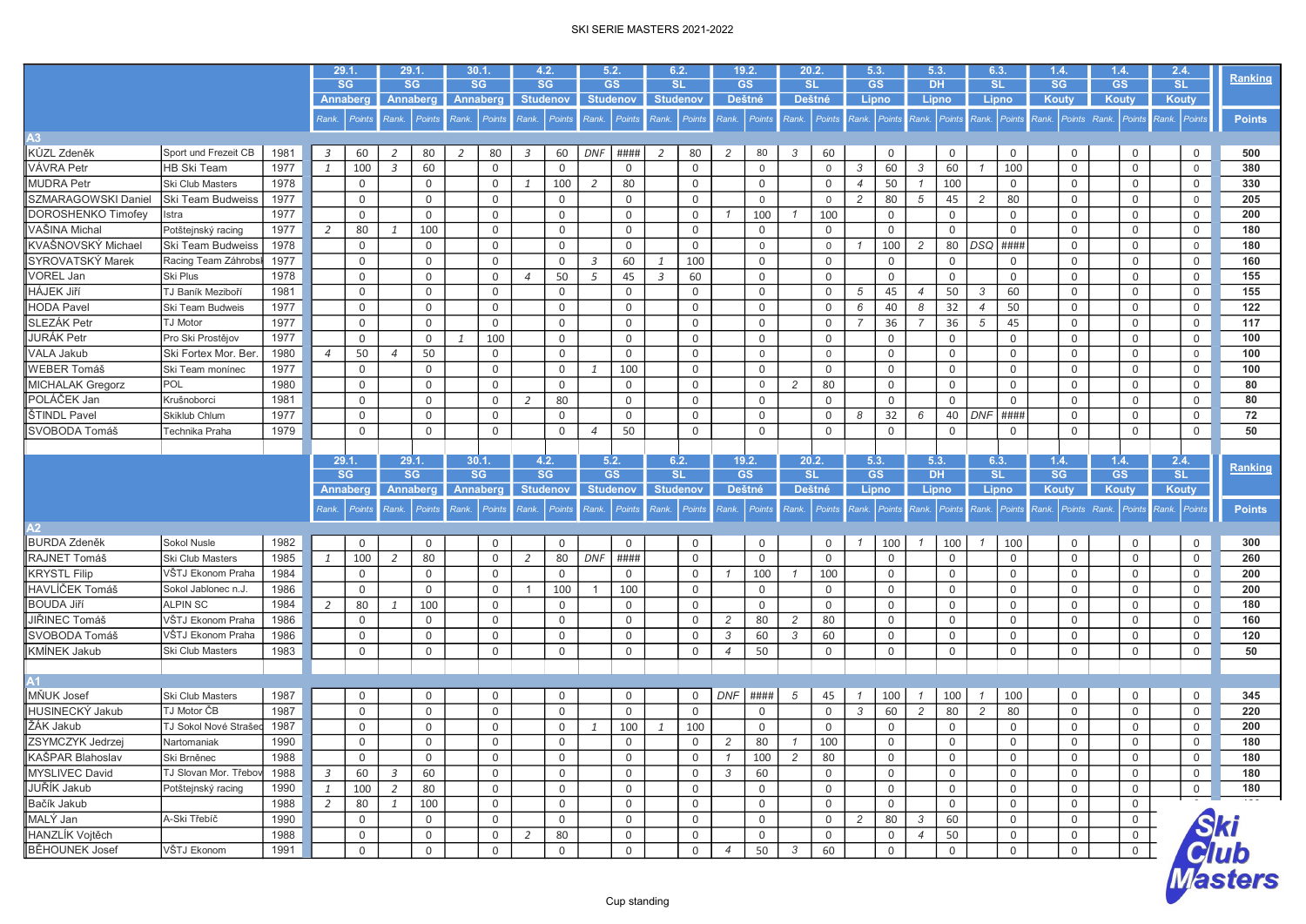|                       |                          |      |                | 29.1.           |                | 29.1.     |       | 30.1.               | 4.2.            |               | 5.2.            |                     | 6.2.            |                     |                | 19.2.        | 20.2.          |               | 5.3.           |              | 5.3.           |             | 6.3.           |                | 1.4.        |              | 1.4.           | 2.4.           |                                 |
|-----------------------|--------------------------|------|----------------|-----------------|----------------|-----------|-------|---------------------|-----------------|---------------|-----------------|---------------------|-----------------|---------------------|----------------|--------------|----------------|---------------|----------------|--------------|----------------|-------------|----------------|----------------|-------------|--------------|----------------|----------------|---------------------------------|
|                       |                          |      |                | SG              |                | <b>SG</b> |       | <b>SG</b>           | <b>SG</b>       |               | <b>GS</b>       |                     | <b>SL</b>       |                     |                | <b>GS</b>    | <b>SL</b>      |               | GS             |              | <b>DH</b>      |             | <b>SL</b>      |                | <b>SG</b>   |              | <b>GS</b>      | SL             | Ranking                         |
|                       |                          |      |                | Annaberg        |                | Annaberg  |       | Annaberg            | <b>Studenov</b> |               |                 | <b>Studenov</b>     | <b>Studenov</b> |                     |                | Deštné       | <b>Deštné</b>  |               | Lipno          |              | Lipno          |             | Lipno          |                | Kouty       |              | Kouty          | <b>Kouty</b>   |                                 |
|                       |                          |      | Rank.          | <b>Points</b>   | Rank.          | Points    | Rank. | Points              | Rank.           | <b>Points</b> |                 | Rank. Points        | Rank.           | Points              |                | Rank. Points | Rank.          | Points        | Rank. Points   |              | Rank.          | Points      |                | Rank. Points   | Rank.       | Points Rank. | <b>Points</b>  | Rank. Points   | <b>Points</b>                   |
| A3                    |                          |      |                |                 |                |           |       |                     |                 |               |                 |                     |                 |                     |                |              |                |               |                |              |                |             |                |                |             |              |                |                |                                 |
| KŮZL Zdeněk           | Sport und Frezeit CB     | 1981 | $\overline{3}$ | 60              | 2              | 80        | 2     | 80                  | $\overline{3}$  | 60            | DNF             | ####                | 2               | 80                  | 2              | 80           | 3              | 60            |                | $\mathbf 0$  |                | 0           |                | 0              |             | $\mathbf 0$  | 0              | $\mathsf{O}$   | 500                             |
| VÁVRA Petr            | <b>HB Ski Team</b>       | 1977 | $\mathbf{1}$   | 100             | $\overline{3}$ | 60        |       | $\mathbf 0$         |                 | $\mathbf 0$   |                 | 0                   |                 | $\mathbf 0$         |                | $\mathsf 0$  |                | $\mathbf{0}$  | 3              | 60           | 3              | 60          |                | 100            |             | $\mathbf 0$  | 0              | $\mathbf 0$    | 380                             |
| <b>MUDRA Petr</b>     | Ski Club Masters         | 1978 |                | 0               |                | 0         |       | $\mathsf{O}$        | 1               | 100           | 2               | 80                  |                 | $\mathbf 0$         |                | $\mathbf 0$  |                | $\mathbf 0$   | $\overline{4}$ | 50           | $\overline{1}$ | 100         |                | $\mathsf{O}$   |             | $\mathbf{0}$ | 0              | 0              | 330                             |
| SZMARAGOWSKI Daniel   | <b>Ski Team Budweiss</b> | 1977 |                | 0               |                | 0         |       | $\mathsf{O}$        |                 | $\mathbf 0$   |                 | $\mathbf 0$         |                 | $\mathbf 0$         |                | $\mathbf 0$  |                | $\mathbf 0$   | 2              | 80           | 5              | 45          | $\overline{c}$ | 80             |             | 0            | 0              | $\mathbf 0$    | 205                             |
| DOROSHENKO Timofey    | Istra                    | 1977 |                | 0               |                | 0         |       | $\mathsf{O}$        |                 | $\mathbf 0$   |                 | $\mathbf 0$         |                 | 0                   |                | 100          |                | 100           |                | 0            |                | 0           |                | 0              |             | $\mathbf 0$  | 0              | $\mathbf 0$    | 200                             |
| VAŠINA Michal         | Potštejnský racing       | 1977 | 2              | 80              | $\mathbf{1}$   | 100       |       | $\mathsf{O}$        |                 | $\mathbf 0$   |                 | $\mathbf 0$         |                 | $\mathbf 0$         |                | $\mathbf 0$  |                | $\mathbf 0$   |                | $\mathbf 0$  |                | $\Omega$    |                | $\overline{0}$ |             | $\mathbf{0}$ | 0              | 0              | 180                             |
| KVAŠNOVSKÝ Michael    | Ski Team Budweiss        | 1978 |                | 0               |                | 0         |       | $\mathsf{O}$        |                 | $\mathbf 0$   |                 | $\mathbf 0$         |                 | $\mathsf 0$         |                | $\mathsf 0$  |                | $\mathbf 0$   | $\mathcal I$   | 100          | 2              | 80          | $DSQ$ ####     |                |             | 0            | 0              | $\mathbf 0$    | 180                             |
| SYROVATSKÝ Marek      | Racing Team Záhrobs      | 1977 |                | 0               |                | 0         |       | 0                   |                 | $\mathbf 0$   | 3               | 60                  | $\mathbf{1}$    | 100                 |                | $\mathbf 0$  |                | $\mathbf 0$   |                | 0            |                | 0           |                | 0              |             | 0            | 0              | $\mathbf 0$    | 160                             |
| VOREL Jan             | <b>Ski Plus</b>          | 1978 |                | 0               |                | 0         |       | $\mathsf{O}$        | $\overline{4}$  | 50            | 5               | 45                  | $\overline{3}$  | 60                  |                | $\mathbf 0$  |                | $\mathbf 0$   |                | 0            |                | $\mathbf 0$ |                | 0              |             | $\mathbf{0}$ | 0              | 0              | 155                             |
| HÁJEK Jiří            | TJ Baník Meziboří        | 1981 |                | 0               |                | 0         |       | $\mathsf{O}$        |                 | $\mathbf 0$   |                 | $\mathbf 0$         |                 | $\mathbf 0$         |                | $\mathbf 0$  |                | $\mathbf 0$   | 5              | 45           | $\overline{4}$ | 50          | 3              | 60             |             | $\mathbf 0$  | 0              | $\mathbf 0$    | 155                             |
| <b>HODA Pavel</b>     | Ski Team Budweis         | 1977 |                | 0               |                | 0         |       | $\mathsf{O}$        |                 | $\mathbf 0$   |                 | $\mathbf 0$         |                 | 0                   |                | $\mathbf 0$  |                | $\mathbf 0$   | 6              | 40           | 8              | 32          | $\overline{4}$ | 50             |             | $\mathbf 0$  | 0              | $\mathbf 0$    | 122                             |
| SLEZÁK Petr           | <b>TJ Motor</b>          | 1977 |                | 0               |                | 0         |       | $\mathsf{O}$        |                 | $\mathbf 0$   |                 | 0                   |                 | $\mathbf 0$         |                | $\mathbf 0$  |                | $\mathbf 0$   | $\overline{7}$ | 36           | $\overline{7}$ | 36          | 5              | 45             |             | 0            | 0              | 0              | 117                             |
| JURÁK Petr            | Pro Ski Prostějov        | 1977 |                | 0               |                | 0         | 1     | 100                 |                 | $\mathbf 0$   |                 | $\mathbf 0$         |                 | $\mathbf 0$         |                | $\mathbf 0$  |                | $\mathbf 0$   |                | 0            |                | 0           |                | 0              |             | $\mathbf 0$  | 0              | $\mathbf 0$    | 100                             |
| VALA Jakub            | Ski Fortex Mor. Ber      | 1980 | $\overline{4}$ | 50              | $\overline{4}$ | 50        |       | $\mathsf{O}$        |                 | $\mathbf 0$   |                 | $\mathbf 0$         |                 | $\mathbf 0$         |                | $\mathbf 0$  |                | $\mathbf{0}$  |                | 0            |                | $\mathbf 0$ |                | $\mathbf 0$    |             | $\mathbf 0$  | 0              | $\mathbf 0$    | 100                             |
| WEBER Tomáš           | Ski Team monínec         | 1977 |                | 0               |                | 0         |       | $\mathsf{O}$        |                 | $\mathbf 0$   | 1               | 100                 |                 | $\mathbf 0$         |                | $\mathbf 0$  |                | $\mathbf 0$   |                | 0            |                | 0           |                | 0              |             | $\mathbf 0$  | 0              | 0              | 100                             |
| MICHALAK Gregorz      | POL                      | 1980 |                | 0               |                | 0         |       | $\mathsf{O}$        |                 | $\mathbf 0$   |                 | $\mathbf 0$         |                 | $\mathbf 0$         |                | $\mathbf 0$  | $\overline{2}$ | 80            |                | 0            |                | 0           |                | 0              |             | 0            | 0              | 0              | 80                              |
| POLÁČEK Jan           | Krušnoborci              | 1981 |                | 0               |                | 0         |       | $\mathsf{O}$        | 2               | 80            |                 | $\mathbf 0$         |                 | $\mathbf 0$         |                | $\mathbf 0$  |                | $\mathbf 0$   |                | $\mathbf 0$  |                | $\Omega$    |                | $\mathbf 0$    |             | $\mathbf 0$  | 0              | $\mathbf 0$    | 80                              |
| ŠTINDL Pavel          | Skiklub Chlum            | 1977 |                | 0               |                | 0         |       | $\mathsf{O}$        |                 | 0             |                 | 0                   |                 | 0                   |                | 0            |                | 0             | 8              | 32           | 6              | 40          | $DNF$ ####     |                |             | 0            | 0              | 0              | 72                              |
| SVOBODA Tomáš         | Technika Praha           | 1979 |                | 0               |                | 0         |       | $\mathsf{O}$        |                 | $\mathbf 0$   | $\overline{4}$  | 50                  |                 | $\mathbf 0$         |                | $\mathbf 0$  |                | $\mathbf 0$   |                | 0            |                | 0           |                | 0              |             | $\mathbf 0$  | 0              | $\mathbf 0$    | 50                              |
|                       |                          |      |                |                 |                |           |       |                     |                 |               |                 |                     |                 |                     |                |              |                |               |                |              |                |             |                |                |             |              |                |                |                                 |
|                       |                          |      |                | 29.1.           |                | 29.1      |       | 30.1                | 4.2.            |               | 5.2.            |                     | 6.2.            |                     |                | 19.2.        | 20.2.          |               | 5.3            |              | 5.3.           |             | 6.3.           |                | 1.4.        |              | 1.4.           | 2.4.           |                                 |
|                       |                          |      |                | <b>SG</b>       |                | <b>SG</b> |       | <b>SG</b>           | <b>SG</b>       |               | <b>GS</b>       |                     | <b>SL</b>       |                     |                | <b>GS</b>    | <b>SL</b>      |               | <b>GS</b>      |              | <b>DH</b>      |             | <b>SL</b>      |                | <b>SG</b>   |              | <b>GS</b>      | <b>SL</b>      | Ranking                         |
|                       |                          |      |                | <b>Annaberg</b> |                | Annaberg  |       | <b>Annaberg</b>     | <b>Studenov</b> |               | <b>Studenov</b> |                     | <b>Studenov</b> |                     |                | Deštné       | Deštné         |               | Lipno          |              | Lipno          |             | Lipno          |                | Kouty       |              | Kouty          | <b>Kouty</b>   |                                 |
|                       |                          |      |                |                 |                |           |       |                     |                 |               |                 |                     |                 |                     |                |              |                |               |                |              |                |             |                |                |             |              |                |                |                                 |
|                       |                          |      | Rank.          | <b>Points</b>   | Rank.          | Points    |       | Rank. Points        | Rank.           | <b>Points</b> |                 | Rank. Points        | Rank.           | Points              |                | Rank. Points | Rank.          | <b>Points</b> | Rank. Points   |              | Rank.          | Points      |                | Rank. Points   | <b>Rank</b> | Points Rank. | <b>Points</b>  | Rank. Points   | <b>Points</b>                   |
| $\overline{2}$        |                          |      |                |                 |                |           |       |                     |                 |               |                 |                     |                 |                     |                |              |                |               |                |              |                |             |                |                |             |              |                |                |                                 |
| <b>BURDA Zdeněk</b>   | Sokol Nusle              | 1982 |                | 0               |                | 0         |       | $\mathsf{O}$        |                 | $\mathbf 0$   |                 | 0                   |                 | $\mathbf 0$         |                | $\mathbf 0$  |                | 0             | $\overline{1}$ | 100          | $\overline{1}$ | 100         | $\overline{1}$ | 100            |             | $\mathbf 0$  | 0              | $\mathsf{O}$   | 300                             |
| RAJNET Tomáš          | Ski Club Masters         | 1985 | $\mathbf{1}$   | 100             | 2              | 80        |       | $\mathbf 0$         | 2               | 80            | DNF             | ####                |                 | $\mathbf 0$         |                | $\mathbf 0$  |                | $\mathbf 0$   |                | $\Omega$     |                | 0           |                | $\mathbf 0$    |             | $\mathbf 0$  | 0              | $\mathbf 0$    | 260                             |
| KRYSTL Filip          | VŠTJ Ekonom Praha        | 1984 |                | 0               |                | 0         |       | $\mathsf{O}$        |                 | $\mathbf 0$   |                 | 0                   |                 | 0                   | 1              | 100          | -1             | 100           |                | $\mathbf{0}$ |                | 0           |                | 0              |             | 0            | 0              | 0              | 200                             |
| HAVLÍČEK Tomáš        | Sokol Jablonec n.J       | 1986 |                | 0               |                | 0         |       | 0                   | $\overline{1}$  | 100           |                 | 100                 |                 | $\mathbf 0$         |                | $\mathbf 0$  |                | $\mathbf 0$   |                | 0            |                | 0           |                | 0              |             | 0            | 0              | 0              | 200                             |
| <b>BOUDA Jiří</b>     | <b>ALPIN SC</b>          | 1984 | 2              | 80              | $\mathbf{1}$   | 100       |       | $\mathbf 0$         |                 | $\mathbf 0$   |                 | $\mathbf 0$         |                 | $\mathbf 0$         |                | $\mathbf 0$  |                | $\mathbf 0$   |                | 0            |                | $\mathbf 0$ |                | $\mathbf 0$    |             | 0            | 0              | $\mathbf 0$    | 180                             |
| JIŘINEC Tomáš         | VŠTJ Ekonom Praha        | 1986 |                | 0               |                | 0         |       | $\mathsf{O}$        |                 | $\mathbf 0$   |                 | 0                   |                 | 0                   | 2              | 80           | $\overline{2}$ | 80            |                | 0            |                | 0           |                | 0              |             | 0            | 0              | $\mathbf 0$    | 160                             |
| SVOBODA Tomáš         | VŠTJ Ekonom Praha        | 1986 |                | 0               |                | 0         |       | $\mathsf{O}$        |                 | $\mathbf 0$   |                 | $\mathbf 0$         |                 | $\mathbf 0$         | 3              | 60           | 3              | 60            |                | 0            |                | 0           |                | 0              |             | $\mathbf 0$  | 0              | 0              | 120                             |
| KMÍNEK Jakub          | Ski Club Masters         | 1983 |                | 0               |                | 0         |       | $\mathsf{O}$        |                 | $\mathbf 0$   |                 | $\mathbf 0$         |                 | $\mathbf 0$         | $\overline{4}$ | 50           |                | $\mathbf 0$   |                | 0            |                | $\mathbf 0$ |                | 0              |             | 0            | 0              | $\mathbf 0$    | 50                              |
|                       |                          |      |                |                 |                |           |       |                     |                 |               |                 |                     |                 |                     |                |              |                |               |                |              |                |             |                |                |             |              |                |                |                                 |
|                       |                          |      |                |                 |                |           |       |                     |                 |               |                 |                     |                 |                     |                |              |                |               |                |              |                |             |                |                |             |              |                |                |                                 |
| MŇUK Josef            | <b>Ski Club Masters</b>  | 1987 |                | 0               |                | 0         |       | $\mathsf{O}$        |                 | $\mathbf 0$   |                 | 0                   |                 | $\mathbf 0$         | <b>DNF</b>     | ####         | 5              | 45            | $\mathcal I$   | 100          | $\overline{1}$ | 100         |                | 100            |             | $\mathbf 0$  | 0              | $\mathsf{O}$   | 345                             |
| HUSINECKÝ Jakub       | TJ Motor ČB              | 1987 |                | 0               |                | 0         |       | $\mathsf{O}$        |                 | $\mathbf 0$   |                 | $\mathbf 0$         |                 | $\mathbf 0$         |                | $\mathbf 0$  |                | $\mathbf 0$   | 3              | 60           | 2              | 80          | $\overline{c}$ | 80             |             | $\mathbf 0$  | 0              | $\mathbf 0$    | 220                             |
| ŽÁK Jakub             | TJ Sokol Nové Strašeo    | 1987 |                | 0               |                | 0         |       | 0                   |                 | 0             | $\mathbf{1}$    | 100                 | 1               | 100                 |                | $\mathbf 0$  |                | $\mathbf 0$   |                | 0            |                | $\mathbf 0$ |                | 0              |             | $\mathbf 0$  | 0              | $\mathbf 0$    | 200                             |
| ZSYMCZYK Jedrzej      | Nartomaniak              | 1990 |                | 0               |                | 0         |       | $\mathsf{O}$        |                 | $\mathbf 0$   |                 | $\mathbf 0$         |                 | $\mathsf{O}$        | 2              | 80           | $\overline{1}$ | 100           |                | 0            |                | $\mathbf 0$ |                | $\mathbf 0$    |             | $\mathbf 0$  | 0              | 0              | 180                             |
| KAŠPAR Blahoslav      | Ski Brněnec              | 1988 |                | $\mathsf 0$     |                | 0         |       | $\mathsf{O}\xspace$ |                 | $\mathsf 0$   |                 | $\mathsf{O}\xspace$ |                 | $\mathsf{O}\xspace$ | $\mathcal I$   | 100          | $2 \mid 80$    |               |                | $\mathsf 0$  |                | $\mathsf 0$ |                | 0              |             | $\mathbf 0$  | 0              | $\mathbf 0$    | 180                             |
| <b>MYSLIVEC David</b> | TJ Slovan Mor. Třebov    | 1988 | $\overline{3}$ | 60              | $\overline{3}$ | 60        |       | $\mathbf 0$         |                 | $\mathbf 0$   |                 | $\mathbf 0$         |                 | $\mathbf 0$         | 3              | 60           |                | $\mathbf 0$   |                | $\mathsf{O}$ |                | $\mathbf 0$ |                | 0              |             | 0            | 0              | $\mathsf{O}$   | 180                             |
| JUŘÍK Jakub           | Potštejnský racing       | 1990 | 1              | 100             | $\overline{2}$ | 80        |       | $\mathbf 0$         |                 | 0             |                 | 0                   |                 | $\mathsf{O}$        |                | $\mathsf{O}$ |                | $\mathbf 0$   |                | 0            |                | 0           |                | $\mathbf{0}$   |             | $\mathbf{0}$ | 0              | $\overline{0}$ | 180                             |
| Bačík Jakub           |                          | 1988 | $\overline{2}$ | 80              | $\mathbf{1}$   | 100       |       | 0                   |                 | 0             |                 | 0                   |                 | $\mathbf 0$         |                | $\mathbf 0$  |                | 0             |                | 0            |                | 0           |                | $\mathsf{O}$   |             | 0            | 0              |                |                                 |
| MALÝ Jan              | A-Ski Třebíč             | 1990 |                | 0               |                | 0         |       | 0                   |                 | $\mathbf 0$   |                 | 0                   |                 | 0                   |                | 0            |                | 0             | $\overline{c}$ | 80           | $\mathcal{S}$  | 60          |                | 0              |             | 0            | $\overline{0}$ |                |                                 |
| HANZLÍK Vojtěch       |                          | 1988 |                | 0               |                | 0         |       | $\mathsf{O}$        | $\overline{2}$  | 80            |                 | 0                   |                 | 0                   |                | 0            |                | $\mathbf 0$   |                | 0            | $\overline{4}$ | 50          |                | 0              |             | $\mathsf{O}$ | $\overline{0}$ |                |                                 |
| <b>BĚHOUNEK Josef</b> | VŠTJ Ekonom              | 1991 |                | 0               |                | 0         |       | $\mathsf{O}$        |                 | $\mathbf 0$   |                 | $\mathbf 0$         |                 | $\mathsf 0$         | $\overline{4}$ | 50           | $\mathcal{S}$  | 60            |                | 0            |                | 0           |                | $\mathsf{O}$   |             | 0            | $\overline{0}$ |                |                                 |
|                       |                          |      |                |                 |                |           |       |                     |                 |               |                 |                     |                 |                     |                |              |                |               |                |              |                |             |                |                |             |              |                |                |                                 |
|                       |                          |      |                |                 |                |           |       |                     |                 |               |                 |                     |                 |                     |                |              |                |               |                |              |                |             |                |                |             |              |                |                | <b>Ski<br/>Club<br/>Masters</b> |

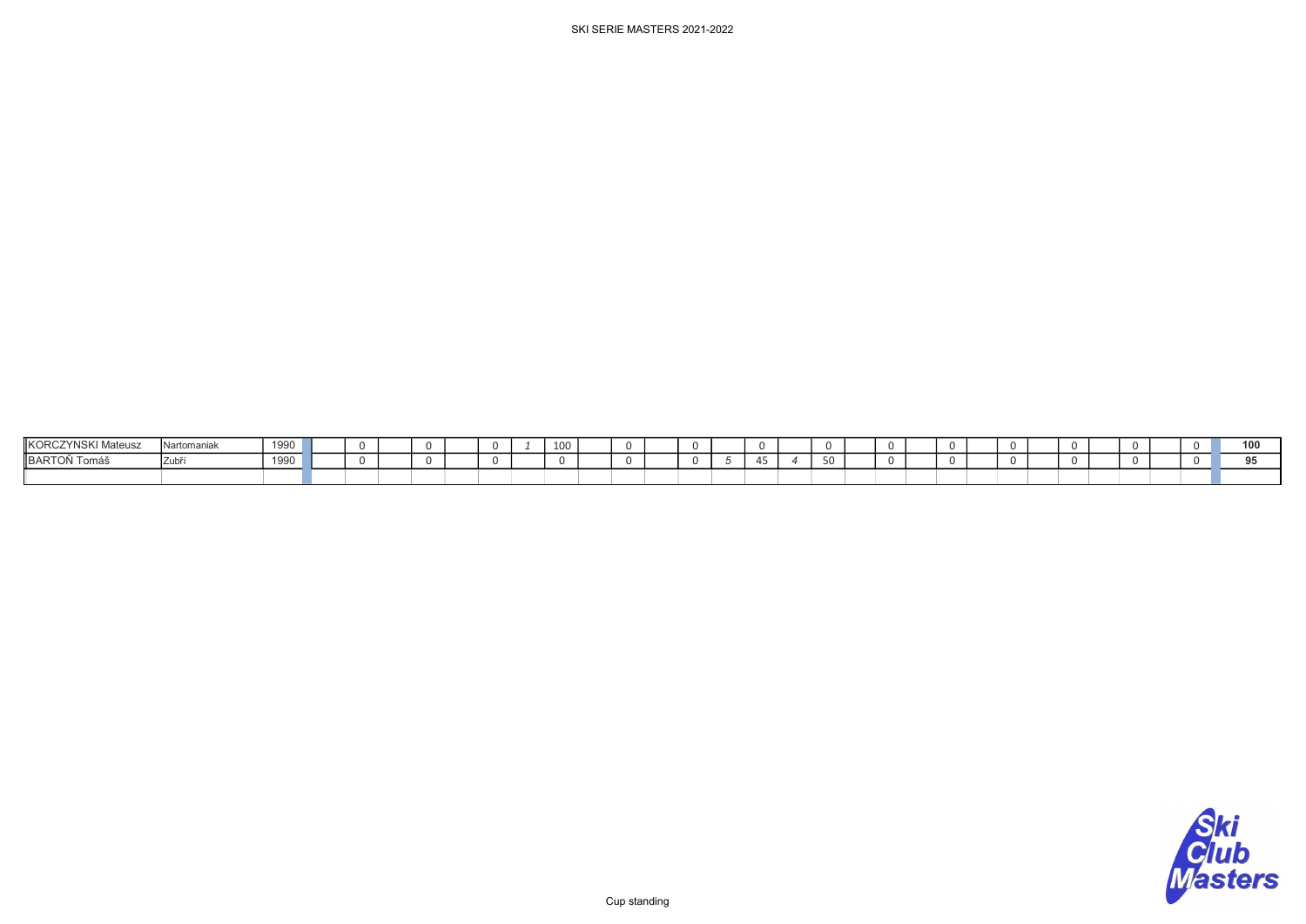| <b>KORCZYNSKI Mateusz</b> | Nartomaniak | 1990 |  |  |  | $\sim$ | 100 |  |  |  |  |  |  |  |  |  |  | $\overline{100}$ |
|---------------------------|-------------|------|--|--|--|--------|-----|--|--|--|--|--|--|--|--|--|--|------------------|
| BARTOŇ Tomáš              | Zubi        | 1990 |  |  |  |        |     |  |  |  |  |  |  |  |  |  |  |                  |
|                           |             |      |  |  |  |        |     |  |  |  |  |  |  |  |  |  |  |                  |

Cup standing

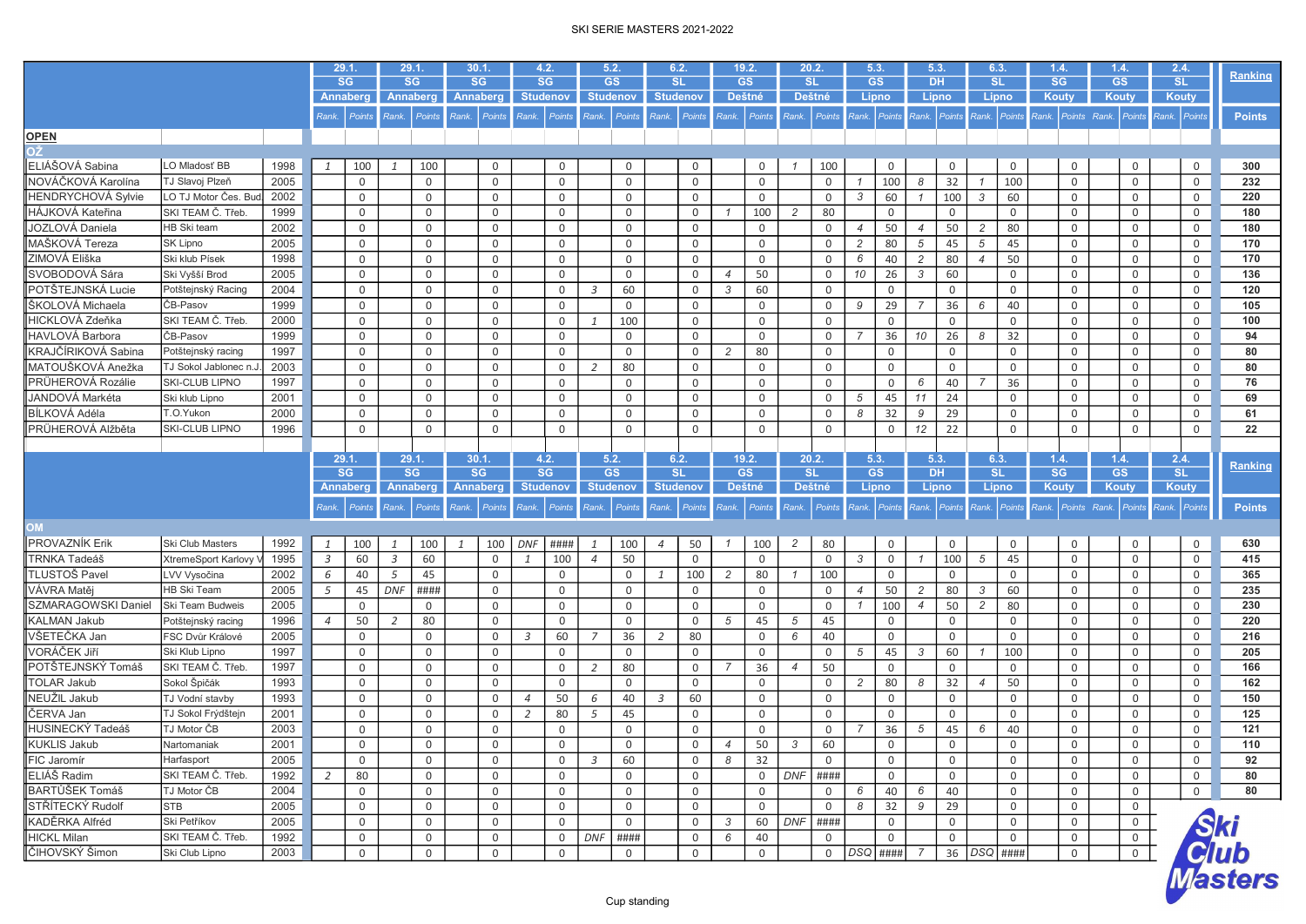|                            |                       |      |                | 29.1.<br><b>SG</b> |                | 29.1<br><b>SG</b> | 30.1<br><b>SG</b> |                 | 4.2.<br><b>SG</b> |               | 5.2.<br><b>GS</b> |              | 6.2.<br><b>SL</b>    |                | 19.2.<br><b>GS</b> | 20.2.<br><b>SL</b> |               | 5.3.<br><b>GS</b> |                | 5.3.<br><b>DH</b> |             | 6.3<br><b>SL</b> |                | 1.4.<br>SG   | 1.4.<br><b>GS</b> |                | 2.4.<br>SL                             | Ranking                        |
|----------------------------|-----------------------|------|----------------|--------------------|----------------|-------------------|-------------------|-----------------|-------------------|---------------|-------------------|--------------|----------------------|----------------|--------------------|--------------------|---------------|-------------------|----------------|-------------------|-------------|------------------|----------------|--------------|-------------------|----------------|----------------------------------------|--------------------------------|
|                            |                       |      |                | <b>Annaberg</b>    |                | <b>Annaberg</b>   | Annaberg          |                 | <b>Studenov</b>   |               | <b>Studenov</b>   |              | <b>Studenov</b>      |                | Deštné             | <b>Deštné</b>      |               | Lipno             |                | Lipno             |             | Lipno            |                | <b>Kouty</b> | Kouty             |                | <b>Kouty</b>                           |                                |
|                            |                       |      | Rank.          | Points             | Rank.          | Points            | Rank. Points      |                 | Rank.             | Points        | Rank. Points      |              | Rank. Points         |                | Rank. Points       |                    | Rank. Points  | Rank. Points      |                | Rank.             | Points      |                  | Rank. Points   |              |                   |                | Rank. Points Rank. Points Rank. Points | <b>Points</b>                  |
| <b>OPEN</b>                |                       |      |                |                    |                |                   |                   |                 |                   |               |                   |              |                      |                |                    |                    |               |                   |                |                   |             |                  |                |              |                   |                |                                        |                                |
| SC.                        |                       |      |                |                    |                |                   |                   |                 |                   |               |                   |              |                      |                |                    |                    |               |                   |                |                   |             |                  |                |              |                   |                |                                        |                                |
| ELIÁŠOVÁ Sabina            | LO Mladosť BB         | 1998 | $\mathbf{1}$   | 100                | $\mathbf{1}$   | 100               |                   | $\overline{0}$  |                   | $\mathbf 0$   |                   | $\mathbf 0$  | $\mathbf 0$          |                | $\mathbf 0$        | $\mathcal I$       | 100           |                   | 0              |                   | $\Omega$    |                  | 0              | $\mathbf 0$  |                   | 0              | $\mathsf{O}$                           | 300                            |
| NOVÁČKOVÁ Karolína         | TJ Slavoj Plzeň       | 2005 |                | 0                  |                | 0                 |                   | $\mathsf{O}$    |                   | $\mathbf 0$   |                   | $\mathbf 0$  | $\mathbf 0$          |                | $\mathbf 0$        |                    | $\mathbf 0$   | $\overline{1}$    | 100            | 8                 | 32          |                  | 100            | 0            |                   | 0              | $\mathbf 0$                            | 232                            |
| HENDRYCHOVÁ Sylvie         | LO TJ Motor Čes. Bud  | 2002 |                | 0                  |                | 0                 |                   | $\mathsf{O}$    |                   | $\mathbf 0$   |                   | $\mathbf 0$  | $\mathbf 0$          |                | $\mathbf 0$        |                    | $\mathbf 0$   | 3                 | 60             | $\overline{1}$    | 100         | 3                | 60             | $\mathbf 0$  |                   | 0              | $\mathbf 0$                            | 220                            |
| HÁJKOVÁ Kateřina           | SKI TEAM Č. Třeb      | 1999 |                | 0                  |                | 0                 |                   | $\mathbf 0$     |                   | $\mathbf 0$   |                   | $\mathbf 0$  | $\mathbf 0$          | $\mathcal I$   | 100                | $\overline{2}$     | 80            |                   | $\mathbf 0$    |                   | $\Omega$    |                  | $\mathsf{O}$   | $\mathbf 0$  |                   | 0              | $\mathbf 0$                            | 180                            |
| JOZLOVÁ Daniela            | HB Ski team           | 2002 |                | 0                  |                | 0                 |                   | $\mathsf{O}$    |                   | $\mathbf 0$   |                   | $\mathbf 0$  | $\mathbf 0$          |                | 0                  |                    | $\mathbf 0$   | $\overline{4}$    | 50             | $\overline{4}$    | 50          | 2                | 80             | 0            |                   | 0              | $\mathsf{O}$                           | 180                            |
| MAŠKOVÁ Tereza             | <b>SK Lipno</b>       | 2005 |                | 0                  |                | 0                 |                   | $\mathsf{O}$    |                   | $\mathbf 0$   |                   | $\mathbf 0$  | $\mathbf 0$          |                | $\mathbf 0$        |                    | $\mathbf 0$   | $\overline{c}$    | 80             | 5                 | 45          | 5                | 45             | $\mathbf 0$  |                   | 0              | $\mathbf 0$                            | 170                            |
| ZIMOVÁ Eliška              | Ski klub Písek        | 1998 |                | 0                  |                | 0                 |                   | $\mathsf{O}$    |                   | $\mathbf 0$   |                   | $\mathbf 0$  | $\mathbf 0$          |                | $\mathbf 0$        |                    | $\mathbf 0$   | 6                 | 40             | $\overline{2}$    | 80          | $\overline{4}$   | 50             | 0            |                   | 0              | $\mathbf 0$                            | 170                            |
| SVOBODOVÁ Sára             | Ski Vyšší Brod        | 2005 |                | 0                  |                | 0                 |                   | $\mathsf{O}$    |                   | $\mathsf 0$   |                   | $\mathbf 0$  | $\mathsf 0$          | $\overline{4}$ | 50                 |                    | $\mathbf 0$   | 10                | 26             | $\mathcal{S}$     | 60          |                  | $\mathbf 0$    | $\mathbf 0$  |                   | 0              | $\mathbf 0$                            | 136                            |
| POTŠTEJNSKÁ Lucie          | Potštejnský Racing    | 2004 |                | 0                  |                | 0                 |                   | $\mathsf{O}$    |                   | $\mathbf 0$   | $\overline{3}$    | 60           | $\mathbf 0$          | 3              | 60                 |                    | $\mathbf 0$   |                   | $\mathbf 0$    |                   | $\mathbf 0$ |                  | $\mathbf 0$    | 0            |                   | 0              | $\mathbf 0$                            | 120                            |
| ŠKOLOVÁ Michaela           | ČB-Pasov              | 1999 |                | 0                  |                | 0                 |                   | $\mathsf{O}$    |                   | $\mathsf 0$   |                   | $\mathbf 0$  | $\mathbf 0$          |                | $\mathbf 0$        |                    | $\mathbf 0$   | 9                 | 29             | $\overline{7}$    | 36          | 6                | 40             | $\mathbf 0$  |                   | 0              | $\mathbf 0$                            | 105                            |
| HICKLOVÁ Zdeňka            | SKI TEAM Č. Třeb      | 2000 |                | 0                  |                | 0                 |                   | $\mathsf{O}$    |                   | $\mathsf 0$   | $\overline{1}$    | 100          | $\mathsf 0$          |                | $\mathbf 0$        |                    | $\mathbf 0$   |                   | $\mathbf 0$    |                   | $\mathbf 0$ |                  | $\mathsf{O}$   | $\mathbf 0$  |                   | 0              | $\mathbf 0$                            | 100                            |
| HAVLOVÁ Barbora            | ČB-Pasov              | 1999 |                | 0                  |                | 0                 |                   | $\mathsf{O}$    |                   | $\mathbf 0$   |                   | $\mathbf 0$  | $\mathbf 0$          |                | $\mathbf 0$        |                    | $\mathbf 0$   | $\overline{7}$    | 36             | 10                | 26          | 8                | 32             | 0            |                   | 0              | $\mathbf 0$                            | 94                             |
| KRAJČÍRIKOVÁ Sabina        | Potštejnský racing    | 1997 |                | 0                  |                | 0                 |                   | $\mathsf{O}$    |                   | $\mathbf 0$   |                   | $\mathbf 0$  | $\mathbf 0$          | $\overline{2}$ | 80                 |                    | $\mathbf 0$   |                   | 0              |                   | $\mathbf 0$ |                  | $\mathbf 0$    | $\mathbf 0$  |                   | 0              | $\mathbf 0$                            | 80                             |
| MATOUŠKOVÁ Anežka          | TJ Sokol Jablonec n.J | 2003 |                | 0                  |                | 0                 |                   | $\mathsf{O}$    |                   | $\mathbf 0$   | 2                 | 80           | $\mathsf 0$          |                | 0                  |                    | $\mathsf 0$   |                   | 0              |                   | $\mathbf 0$ |                  | $\overline{0}$ | $\mathbf 0$  |                   | 0              | $\mathbf 0$                            | 80                             |
| PRÜHEROVÁ Rozálie          | SKI-CLUB LIPNO        | 1997 |                | 0                  |                | 0                 |                   | $\mathsf{O}$    |                   | $\mathbf 0$   |                   | $\mathbf 0$  | $\mathbf 0$          |                | $\mathbf 0$        |                    | $\mathbf 0$   |                   | 0              | 6                 | 40          | $\overline{7}$   | 36             | $\mathbf 0$  |                   | 0              | $\mathbf 0$                            | 76                             |
| JANDOVÁ Markéta            | Ski klub Lipno        | 2001 |                | 0                  |                | 0                 |                   | 0               |                   | $\mathbf 0$   |                   | $\mathbf 0$  | $\mathbf 0$          |                | $\Omega$           |                    | $\mathbf 0$   | 5                 | 45             | 11                | 24          |                  | 0              | 0            |                   | 0              | 0                                      | 69                             |
| BÍLKOVÁ Adéla              | T.O.Yukon             | 2000 |                | 0                  |                | 0                 |                   | $\mathsf{O}$    |                   | $\mathbf 0$   |                   | $\mathsf{O}$ | $\mathsf 0$          |                | $\mathsf{O}$       |                    | $\mathbf 0$   | 8                 | 32             | 9                 | 29          |                  | 0              | 0            |                   | 0              | 0                                      | 61                             |
| PRÜHEROVÁ Alžběta          | SKI-CLUB LIPNO        | 1996 |                | $\mathbf 0$        |                | 0                 |                   | $\mathsf{O}$    |                   | $\mathsf 0$   |                   | $\mathbf 0$  | $\mathbf 0$          |                | $\Omega$           |                    | $\mathbf 0$   |                   | 0              | 12                | 22          |                  | $\mathbf 0$    | $\mathbf 0$  |                   | 0              | $\Omega$                               | 22                             |
|                            |                       |      |                |                    |                |                   |                   |                 |                   |               |                   |              |                      |                |                    |                    |               |                   |                |                   |             |                  |                |              |                   |                |                                        |                                |
|                            |                       |      |                | 29.1.              |                | 29.1.             | 30.1.             |                 | 4.2.              |               | 5.2.              |              | 6.2.                 |                | 19.2.              | 20.2.              |               | 5.3.              |                | 5.3.              |             | 6.3.             |                | 1.4.         | 1.4.              |                | 2.4.                                   |                                |
|                            |                       |      |                | SG                 |                | <b>SG</b>         | <b>SG</b>         |                 | SG                |               | <b>GS</b>         |              | <b>SL</b>            |                | GS                 | <b>SL</b>          |               | GS                |                | <b>DH</b>         |             | <b>SL</b>        |                | <b>SG</b>    | GS                |                | SL                                     | Ranking                        |
|                            |                       |      |                | <b>Annaberg</b>    |                | <b>Annaberg</b>   |                   | <b>Annaberg</b> | <b>Studenov</b>   |               | <b>Studenov</b>   |              | <b>Studenov</b>      |                | Deštné             |                    | <b>Deštné</b> | Lipno             |                | Lipno             |             | Lipno            |                | Kouty        | Kouty             |                | <b>Kouty</b>                           |                                |
|                            |                       |      | Rank.          | Points             | Rank.          | Points            | Rank.             | Points          | Rank.             | <b>Points</b> | Rank. Points      |              | Rank.<br>Points      | Rank.          | Points             | Rank.              | Points        | Rank.             | Points         | Rank.             | Points      | Rank.            | Points         | Rank.        | Points Rank.      | <b>Points</b>  | Rank. Points                           | <b>Points</b>                  |
| <b>MO</b>                  |                       |      |                |                    |                |                   |                   |                 |                   |               |                   |              |                      |                |                    |                    |               |                   |                |                   |             |                  |                |              |                   |                |                                        |                                |
|                            |                       |      |                |                    |                |                   |                   |                 |                   |               |                   |              |                      |                |                    |                    |               |                   |                |                   |             |                  |                |              |                   |                |                                        |                                |
| PROVAZNÍK Erik             | Ski Club Masters      | 1992 | $\mathbf{1}$   | 100                | $\mathbf{1}$   | 100               |                   | 100             | <b>DNF</b>        | ####          |                   | 100          | 50<br>$\overline{4}$ | $\overline{1}$ | 100                | $\overline{c}$     | 80            |                   | 0              |                   | $\mathbf 0$ |                  | $\mathbf 0$    | $\mathbf 0$  |                   | 0              | $\mathbf 0$                            | 630                            |
|                            |                       |      |                | 60                 | $\overline{3}$ | 60<br>45          |                   | $\mathbf 0$     | $\mathbf{1}$      | 100           | $\overline{4}$    | 50           | $\mathbf 0$          |                | $\Omega$           |                    | $\mathbf 0$   | 3                 | $\mathbf 0$    | $\overline{1}$    | 100         | 5                | 45             | $\mathbf 0$  |                   | 0              | $\mathbf 0$                            | 415<br>365                     |
| <b>TRNKA Tadeáš</b>        | XtremeSport Karlovy   | 1995 | $\overline{3}$ |                    |                |                   |                   | $\mathbf 0$     |                   | $\mathbf 0$   |                   | $\mathbf 0$  | 100<br>$\mathbf{1}$  | 2              | 80                 |                    | 100           |                   | $\Omega$       |                   | 0           |                  | 0              | 0            |                   |                |                                        |                                |
| TLUSTOŠ Pavel              | LVV Vysočina          | 2002 | 6              | 40                 | 5              |                   |                   |                 |                   |               |                   |              |                      |                |                    |                    |               |                   |                |                   |             |                  |                |              |                   | 0              | $\mathbf 0$                            |                                |
| VÁVRA Matěj                | <b>HB Ski Team</b>    | 2005 | 5              | 45                 | DNF            | ####              |                   | $\mathsf{O}$    |                   | $\mathbf 0$   |                   | $\mathbf 0$  | $\mathsf 0$          |                | $\mathsf{O}$       |                    | $\mathsf 0$   | $\overline{4}$    | 50             | $\overline{c}$    | 80          | 3                | 60             | $\mathbf 0$  |                   | 0              | $\mathbf 0$                            | 235                            |
| <b>SZMARAGOWSKI Daniel</b> | Ski Team Budweis      | 2005 |                | $\mathbf 0$        |                | 0                 |                   | $\mathsf{O}$    |                   | $\mathsf 0$   |                   | $\mathbf 0$  | $\mathbf 0$          |                | $\mathbf 0$        |                    | $\mathbf 0$   | $\overline{1}$    | 100            | $\overline{4}$    | 50          | $\overline{c}$   | 80             | $\mathbf 0$  |                   | 0              | $\mathbf 0$                            | 230                            |
| KALMAN Jakub               | Potštejnský racing    | 1996 | $\overline{4}$ | 50                 | 2              | 80                |                   | $\mathsf{O}$    |                   | $\mathbf 0$   |                   | $\mathbf 0$  | $\mathbf 0$          | 5              | 45                 | 5                  | 45            |                   | $\mathsf{O}$   |                   | 0           |                  | 0              | 0            |                   | 0              | $\mathbf 0$                            | 220                            |
| VŠETEČKA Jan               | FSC Dvůr Králové      | 2005 |                | 0                  |                | 0                 |                   | $\mathsf{O}$    | 3                 | 60            | $\overline{7}$    | 36           | 80<br>2              |                | $\mathbf 0$        | 6                  | 40            |                   | $\mathbf 0$    |                   | $\mathbf 0$ |                  | $\mathbf 0$    | $\mathsf{O}$ |                   | 0              | $\mathsf{O}$                           | 216                            |
| VORÁČEK Jiří               | Ski Klub Lipno        | 1997 |                | 0                  |                | 0                 |                   | $\mathsf{O}$    |                   | $\mathbf 0$   |                   | $\mathbf 0$  | $\mathbf 0$          |                | $\mathbf 0$        |                    | $\mathbf 0$   | 5                 | 45             | $\mathcal{S}$     | 60          | $\mathcal I$     | 100            | $\mathbf 0$  |                   | 0              | $\mathbf 0$                            | 205                            |
| POTŠTEJNSKÝ Tomáš          | SKI TEAM Č. Třeb.     | 1997 |                | 0                  |                | 0                 |                   | $\mathsf{O}$    |                   | $\mathbf 0$   | 2                 | 80           | $\mathbf 0$          | $\overline{7}$ | 36                 | $\overline{4}$     | 50            |                   | $\mathbf 0$    |                   | $\mathbf 0$ |                  | 0              | $\mathbf 0$  |                   | 0              | $\mathbf 0$                            | 166                            |
| <b>TOLAR Jakub</b>         | Sokol Špičák          | 1993 |                | 0                  |                | 0                 |                   | $\mathsf{O}$    |                   | $\mathbf 0$   |                   | $\mathbf 0$  | $\mathbf 0$          |                | $\mathbf 0$        |                    | $\mathsf 0$   | 2                 | 80             | 8                 | 32          | $\overline{4}$   | 50             | $\mathbf 0$  |                   | 0              | $\mathbf 0$                            | 162                            |
| NEUŽIL Jakub               | TJ Vodní stavby       | 1993 |                | 0                  |                | $\mathsf{O}$      |                   | $\mathsf{O}$    | $\overline{4}$    | 50            | 6                 | 40           | 60<br>$\overline{3}$ |                | $\mathbf 0$        |                    | $\mathbf 0$   |                   | $\mathbf 0$    |                   | $\mathbf 0$ |                  | $\mathbf 0$    | $\mathbf 0$  |                   | 0              | $\mathbf 0$                            | 150                            |
| ČERVA Jan                  | TJ Sokol Frýdštejn    | 2001 |                | 0                  |                | 0                 |                   | $\mathbf 0$     | 2                 | 80            | 5                 | 45           | $\mathbf 0$          |                | $\mathbf 0$        |                    | $\mathbf 0$   |                   | $\mathbf 0$    |                   | $\mathbf 0$ |                  | 0              | $\mathbf 0$  |                   | 0              | $\mathbf 0$                            | 125                            |
| HUSINECKÝ Tadeáš           | TJ Motor ČB           | 2003 |                | 0                  |                | 0                 |                   | $\mathsf{O}$    |                   | $\mathbf 0$   |                   | $\mathsf{O}$ | $\mathbf 0$          |                | $\mathbf 0$        |                    | $\mathbf 0$   | 7                 | 36             | 5                 | 45          | 6                | 40             | $\mathbf 0$  |                   | 0              | $\mathbf 0$                            | 121                            |
| KUKLIS Jakub               | Nartomaniak           | 2001 |                | 0                  |                | 0                 |                   | $\mathsf{O}$    |                   | 0             |                   | $\mathsf{O}$ | $\mathbf 0$          | $\overline{4}$ | 50                 | 3                  | 60            |                   | $\mathbf 0$    |                   | 0           |                  | 0              | $\mathbf 0$  |                   | 0              | $\mathbf 0$                            | 110                            |
| FIC Jaromír                | Harfasport            | 2005 |                | 0                  |                | 0                 |                   | 0               |                   | 0             | 3                 | 60           | 0                    | 8              | 32                 |                    | 0             |                   | $\mathbf{0}$   |                   | 0           |                  | 0              | 0            |                   | 0              | 0                                      | 92                             |
| ELIÁŠ Radim                | SKI TEAM Č. Třeb.     | 1992 | $\overline{2}$ | 80                 |                | 0                 |                   | $\mathsf{O}$    |                   | $\mathbf 0$   |                   | $\mathsf{O}$ | $\mathbf 0$          |                | $\mathbf 0$        | $DNF$ ####         |               |                   | $\overline{0}$ |                   | $\mathbf 0$ |                  | $\overline{0}$ | $\mathbf 0$  |                   | 0              | $\mathbf 0$                            | 80                             |
| BARTŮŠEK Tomáš             | TJ Motor ČB           | 2004 |                | 0                  |                | 0                 |                   | 0               |                   | $\mathbf 0$   |                   | $\mathbf 0$  | $\mathbf 0$          |                | $\mathbf 0$        |                    | $\mathbf 0$   | 6                 | 40             | 6                 | 40          |                  | $\mathbf{0}$   | 0            |                   | 0              | $\mathsf{O}$                           | 80                             |
| STŘÍTECKÝ Rudolf           | <b>STB</b>            | 2005 |                | 0                  |                | 0                 |                   | 0               |                   | 0             |                   | 0            | $\mathbf 0$          |                | $\mathbf 0$        |                    | $\mathbf 0$   | 8                 | 32             | 9                 | 29          |                  | 0              | 0            |                   | $\mathbf 0$    |                                        |                                |
| KADĚRKA Alfréd             | Ski Petříkov          | 2005 |                | 0                  |                | 0                 |                   | $\mathsf{O}$    |                   | 0             |                   | 0            | $\mathbf 0$          | $\mathcal{S}$  | 60                 | $DNF$ ####         |               |                   | 0              |                   | 0           |                  | 0              | 0            |                   | $\mathsf{O}$   |                                        |                                |
| <b>HICKL Milan</b>         | SKI TEAM Č. Třeb.     | 1992 |                | 0                  |                | 0                 |                   | $\mathsf{O}$    |                   | 0             | DNF               | ####         | $\mathbf 0$          | 6              | 40                 |                    | 0             |                   | 0              |                   | 0           |                  | 0              | 0            |                   | 0              |                                        |                                |
| ČIHOVSKÝ Šimon             | Ski Club Lipno        | 2003 |                | 0                  |                | 0                 |                   | $\mathsf{O}$    |                   | $\mathbf 0$   |                   | 0            | $\mathsf{O}$         |                | 0                  |                    | $\mathbf 0$   | DSQ               | ####           | $\overline{7}$    |             | 36   DSQ   ####  |                | $\mathsf{O}$ |                   | $\overline{0}$ |                                        | <i>Ski<br/>Club</i><br>Masters |